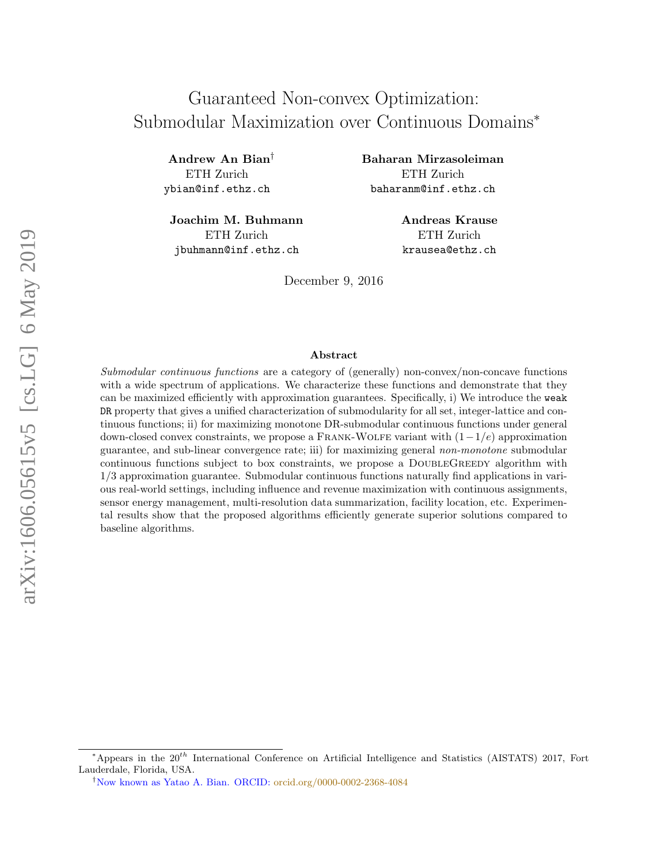# Guaranteed Non-convex Optimization: Submodular Maximization over Continuous Domains<sup>∗</sup>

Andrew An Bian† ETH Zurich ybian@inf.ethz.ch

Joachim M. Buhmann ETH Zurich jbuhmann@inf.ethz.ch

Baharan Mirzasoleiman ETH Zurich baharanm@inf.ethz.ch

> Andreas Krause ETH Zurich krausea@ethz.ch

December 9, 2016

#### Abstract

Submodular continuous functions are a category of (generally) non-convex/non-concave functions with a wide spectrum of applications. We characterize these functions and demonstrate that they can be maximized efficiently with approximation guarantees. Specifically, i) We introduce the weak DR property that gives a unified characterization of submodularity for all set, integer-lattice and continuous functions; ii) for maximizing monotone DR-submodular continuous functions under general down-closed convex constraints, we propose a FRANK-WOLFE variant with  $(1-1/e)$  approximation guarantee, and sub-linear convergence rate; iii) for maximizing general non-monotone submodular continuous functions subject to box constraints, we propose a DOUBLEGREEDY algorithm with 1/3 approximation guarantee. Submodular continuous functions naturally find applications in various real-world settings, including influence and revenue maximization with continuous assignments, sensor energy management, multi-resolution data summarization, facility location, etc. Experimental results show that the proposed algorithms efficiently generate superior solutions compared to baseline algorithms.

<sup>\*</sup>Appears in the  $20^{th}$  International Conference on Artificial Intelligence and Statistics (AISTATS) 2017, Fort Lauderdale, Florida, USA.

<sup>†</sup>Now known as Yatao A. Bian. ORCID: [orcid.org/0000-0002-2368-4084](https://orcid.org/0000-0002-2368-4084)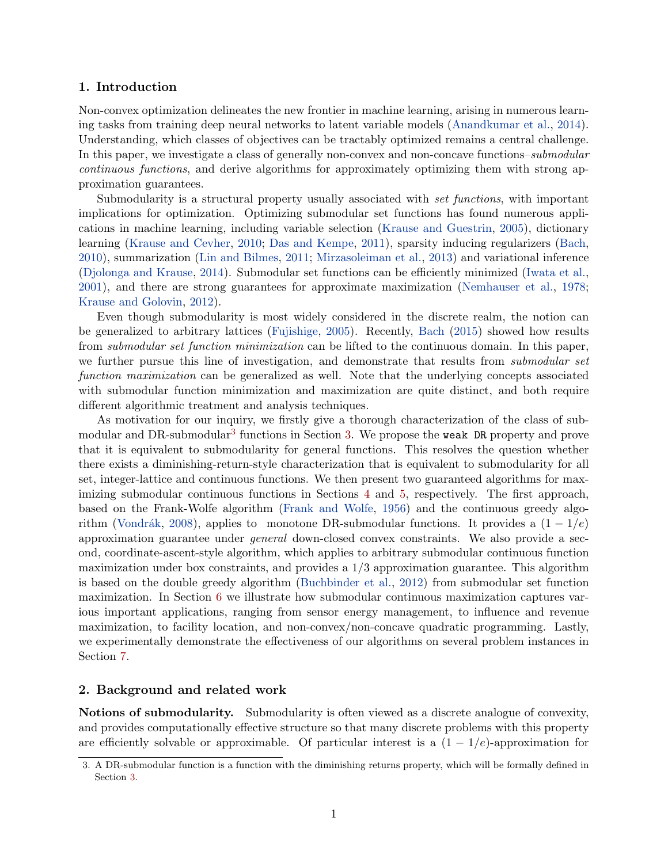#### 1. Introduction

Non-convex optimization delineates the new frontier in machine learning, arising in numerous learning tasks from training deep neural networks to latent variable models [\(Anandkumar et al.,](#page-15-0) [2014\)](#page-15-0). Understanding, which classes of objectives can be tractably optimized remains a central challenge. In this paper, we investigate a class of generally non-convex and non-concave functions–submodular continuous functions, and derive algorithms for approximately optimizing them with strong approximation guarantees.

Submodularity is a structural property usually associated with set functions, with important implications for optimization. Optimizing submodular set functions has found numerous applications in machine learning, including variable selection [\(Krause and Guestrin,](#page-16-0) [2005\)](#page-16-0), dictionary learning [\(Krause and Cevher,](#page-16-1) [2010;](#page-16-1) [Das and Kempe,](#page-15-1) [2011\)](#page-15-1), sparsity inducing regularizers [\(Bach,](#page-15-2) [2010\)](#page-15-2), summarization [\(Lin and Bilmes,](#page-16-2) [2011;](#page-16-2) [Mirzasoleiman et al.,](#page-17-0) [2013\)](#page-17-0) and variational inference [\(Djolonga and Krause,](#page-15-3) [2014\)](#page-15-3). Submodular set functions can be efficiently minimized [\(Iwata et al.,](#page-16-3) [2001\)](#page-16-3), and there are strong guarantees for approximate maximization [\(Nemhauser et al.,](#page-17-1) [1978;](#page-17-1) [Krause and Golovin,](#page-16-4) [2012\)](#page-16-4).

Even though submodularity is most widely considered in the discrete realm, the notion can be generalized to arbitrary lattices [\(Fujishige,](#page-15-4) [2005\)](#page-15-4). Recently, [Bach](#page-15-5) [\(2015\)](#page-15-5) showed how results from submodular set function minimization can be lifted to the continuous domain. In this paper, we further pursue this line of investigation, and demonstrate that results from *submodular set* function maximization can be generalized as well. Note that the underlying concepts associated with submodular function minimization and maximization are quite distinct, and both require different algorithmic treatment and analysis techniques.

As motivation for our inquiry, we firstly give a thorough characterization of the class of sub-modular and DR-submodular<sup>[3](#page-1-0)</sup> functions in Section [3.](#page-3-0) We propose the weak DR property and prove that it is equivalent to submodularity for general functions. This resolves the question whether there exists a diminishing-return-style characterization that is equivalent to submodularity for all set, integer-lattice and continuous functions. We then present two guaranteed algorithms for maximizing submodular continuous functions in Sections [4](#page-5-0) and [5,](#page-7-0) respectively. The first approach, based on the Frank-Wolfe algorithm [\(Frank and Wolfe,](#page-15-6) [1956\)](#page-15-6) and the continuous greedy algo-rithm (Vondrák, [2008\)](#page-17-2), applies to monotone DR-submodular functions. It provides a  $(1 - 1/e)$ approximation guarantee under general down-closed convex constraints. We also provide a second, coordinate-ascent-style algorithm, which applies to arbitrary submodular continuous function maximization under box constraints, and provides a 1/3 approximation guarantee. This algorithm is based on the double greedy algorithm [\(Buchbinder et al.,](#page-15-7) [2012\)](#page-15-7) from submodular set function maximization. In Section [6](#page-8-0) we illustrate how submodular continuous maximization captures various important applications, ranging from sensor energy management, to influence and revenue maximization, to facility location, and non-convex/non-concave quadratic programming. Lastly, we experimentally demonstrate the effectiveness of our algorithms on several problem instances in Section [7.](#page-11-0)

#### 2. Background and related work

Notions of submodularity. Submodularity is often viewed as a discrete analogue of convexity, and provides computationally effective structure so that many discrete problems with this property are efficiently solvable or approximable. Of particular interest is a  $(1 - 1/e)$ -approximation for

<span id="page-1-0"></span><sup>3.</sup> A DR-submodular function is a function with the diminishing returns property, which will be formally defined in Section [3.](#page-3-0)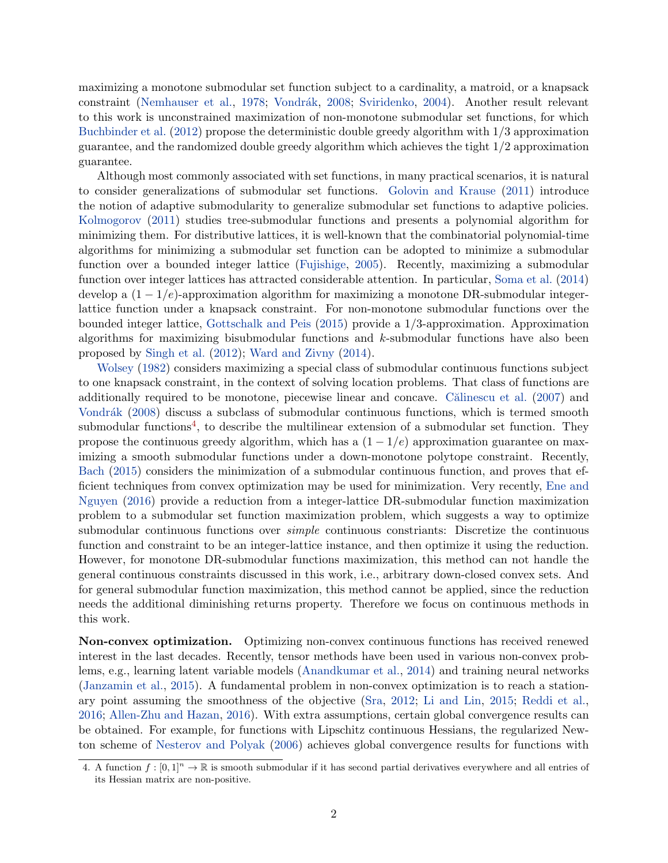maximizing a monotone submodular set function subject to a cardinality, a matroid, or a knapsack constraint [\(Nemhauser et al.,](#page-17-1) [1978;](#page-17-1) Vondrák, [2008;](#page-17-2) [Sviridenko,](#page-17-3) [2004\)](#page-17-3). Another result relevant to this work is unconstrained maximization of non-monotone submodular set functions, for which [Buchbinder et al.](#page-15-7) [\(2012\)](#page-15-7) propose the deterministic double greedy algorithm with 1/3 approximation guarantee, and the randomized double greedy algorithm which achieves the tight 1/2 approximation guarantee.

Although most commonly associated with set functions, in many practical scenarios, it is natural to consider generalizations of submodular set functions. [Golovin and Krause](#page-16-5) [\(2011\)](#page-16-5) introduce the notion of adaptive submodularity to generalize submodular set functions to adaptive policies. [Kolmogorov](#page-16-6) [\(2011\)](#page-16-6) studies tree-submodular functions and presents a polynomial algorithm for minimizing them. For distributive lattices, it is well-known that the combinatorial polynomial-time algorithms for minimizing a submodular set function can be adopted to minimize a submodular function over a bounded integer lattice [\(Fujishige,](#page-15-4) [2005\)](#page-15-4). Recently, maximizing a submodular function over integer lattices has attracted considerable attention. In particular, [Soma et al.](#page-17-4) [\(2014\)](#page-17-4) develop a  $(1 - 1/e)$ -approximation algorithm for maximizing a monotone DR-submodular integerlattice function under a knapsack constraint. For non-monotone submodular functions over the bounded integer lattice, [Gottschalk and Peis](#page-16-7) [\(2015\)](#page-16-7) provide a 1/3-approximation. Approximation algorithms for maximizing bisubmodular functions and k-submodular functions have also been proposed by [Singh et al.](#page-17-5) [\(2012\)](#page-17-5); [Ward and Zivny](#page-17-6) [\(2014\)](#page-17-6).

[Wolsey](#page-17-7) [\(1982\)](#page-17-7) considers maximizing a special class of submodular continuous functions subject to one knapsack constraint, in the context of solving location problems. That class of functions are additionally required to be monotone, piecewise linear and concave. Calinescu et al. [\(2007\)](#page-15-8) and Vondrák [\(2008\)](#page-17-2) discuss a subclass of submodular continuous functions, which is termed smooth submodular functions<sup>[4](#page-2-0)</sup>, to describe the multilinear extension of a submodular set function. They propose the continuous greedy algorithm, which has a  $(1 - 1/e)$  approximation guarantee on maximizing a smooth submodular functions under a down-monotone polytope constraint. Recently, [Bach](#page-15-5) [\(2015\)](#page-15-5) considers the minimization of a submodular continuous function, and proves that efficient techniques from convex optimization may be used for minimization. Very recently, [Ene and](#page-15-9) [Nguyen](#page-15-9) [\(2016\)](#page-15-9) provide a reduction from a integer-lattice DR-submodular function maximization problem to a submodular set function maximization problem, which suggests a way to optimize submodular continuous functions over *simple* continuous constriants: Discretize the continuous function and constraint to be an integer-lattice instance, and then optimize it using the reduction. However, for monotone DR-submodular functions maximization, this method can not handle the general continuous constraints discussed in this work, i.e., arbitrary down-closed convex sets. And for general submodular function maximization, this method cannot be applied, since the reduction needs the additional diminishing returns property. Therefore we focus on continuous methods in this work.

Non-convex optimization. Optimizing non-convex continuous functions has received renewed interest in the last decades. Recently, tensor methods have been used in various non-convex problems, e.g., learning latent variable models [\(Anandkumar et al.,](#page-15-0) [2014\)](#page-15-0) and training neural networks [\(Janzamin et al.,](#page-16-8) [2015\)](#page-16-8). A fundamental problem in non-convex optimization is to reach a stationary point assuming the smoothness of the objective [\(Sra,](#page-17-8) [2012;](#page-17-8) [Li and Lin,](#page-16-9) [2015;](#page-16-9) [Reddi et al.,](#page-17-9) [2016;](#page-17-9) [Allen-Zhu and Hazan,](#page-15-10) [2016\)](#page-15-10). With extra assumptions, certain global convergence results can be obtained. For example, for functions with Lipschitz continuous Hessians, the regularized Newton scheme of [Nesterov and Polyak](#page-17-10) [\(2006\)](#page-17-10) achieves global convergence results for functions with

<span id="page-2-0"></span><sup>4.</sup> A function  $f : [0,1]^n \to \mathbb{R}$  is smooth submodular if it has second partial derivatives everywhere and all entries of its Hessian matrix are non-positive.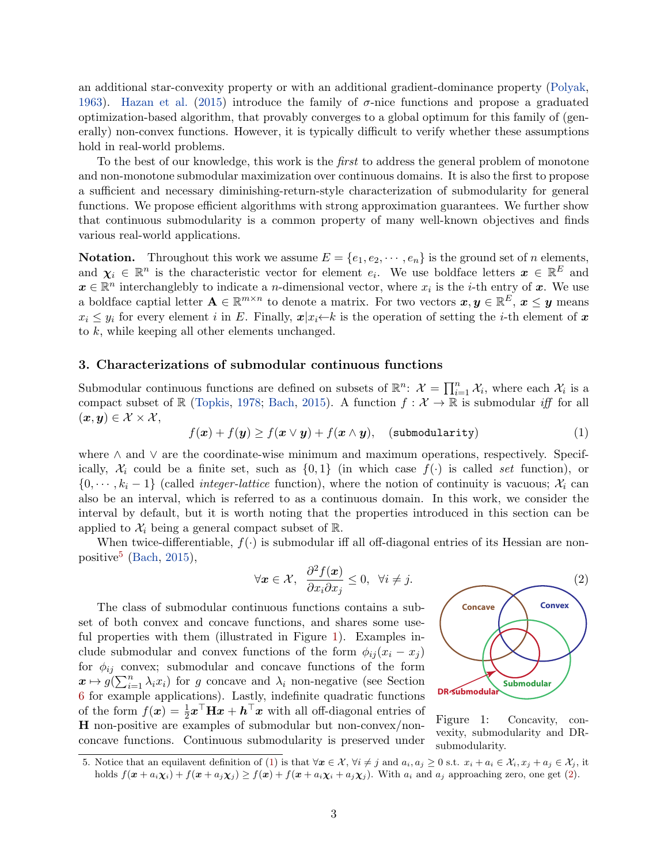an additional star-convexity property or with an additional gradient-dominance property [\(Polyak,](#page-17-11) [1963\)](#page-17-11). [Hazan et al.](#page-16-10) [\(2015\)](#page-16-10) introduce the family of  $\sigma$ -nice functions and propose a graduated optimization-based algorithm, that provably converges to a global optimum for this family of (generally) non-convex functions. However, it is typically difficult to verify whether these assumptions hold in real-world problems.

To the best of our knowledge, this work is the *first* to address the general problem of monotone and non-monotone submodular maximization over continuous domains. It is also the first to propose a sufficient and necessary diminishing-return-style characterization of submodularity for general functions. We propose efficient algorithms with strong approximation guarantees. We further show that continuous submodularity is a common property of many well-known objectives and finds various real-world applications.

**Notation.** Throughout this work we assume  $E = \{e_1, e_2, \dots, e_n\}$  is the ground set of *n* elements, and  $\chi_i \in \mathbb{R}^n$  is the characteristic vector for element  $e_i$ . We use boldface letters  $\boldsymbol{x} \in \mathbb{R}^E$  and  $\boldsymbol{x} \in \mathbb{R}^n$  interchanglebly to indicate a *n*-dimensional vector, where  $x_i$  is the *i*-th entry of  $\boldsymbol{x}$ . We use a boldface captial letter  $\mathbf{A} \in \mathbb{R}^{m \times n}$  to denote a matrix. For two vectors  $\bm{x}, \bm{y} \in \mathbb{R}^E$ ,  $\bm{x} \leq \bm{y}$  means  $x_i \leq y_i$  for every element i in E. Finally,  $x|x_i \leftarrow k$  is the operation of setting the i-th element of x to k, while keeping all other elements unchanged.

#### <span id="page-3-0"></span>3. Characterizations of submodular continuous functions

Submodular continuous functions are defined on subsets of  $\mathbb{R}^n$ :  $\mathcal{X} = \prod_{i=1}^n \mathcal{X}_i$ , where each  $\mathcal{X}_i$  is a compact subset of R [\(Topkis,](#page-17-12) [1978;](#page-17-12) [Bach,](#page-15-5) [2015\)](#page-15-5). A function  $f: \mathcal{X} \to \mathbb{R}$  is submodular iff for all  $(x, y) \in \mathcal{X} \times \mathcal{X},$ 

<span id="page-3-3"></span>
$$
f(\boldsymbol{x}) + f(\boldsymbol{y}) \ge f(\boldsymbol{x} \vee \boldsymbol{y}) + f(\boldsymbol{x} \wedge \boldsymbol{y}), \quad (\text{submodularity}) \tag{1}
$$

where ∧ and ∨ are the coordinate-wise minimum and maximum operations, respectively. Specifically,  $\mathcal{X}_i$  could be a finite set, such as  $\{0,1\}$  (in which case  $f(\cdot)$  is called set function), or  $\{0, \dots, k_i-1\}$  (called *integer-lattice* function), where the notion of continuity is vacuous;  $\mathcal{X}_i$  can also be an interval, which is referred to as a continuous domain. In this work, we consider the interval by default, but it is worth noting that the properties introduced in this section can be applied to  $\mathcal{X}_i$  being a general compact subset of  $\mathbb{R}$ .

When twice-differentiable,  $f(\cdot)$  is submodular iff all off-diagonal entries of its Hessian are non-positive<sup>[5](#page-3-1)</sup> [\(Bach,](#page-15-5) [2015\)](#page-15-5),

<span id="page-3-4"></span>
$$
\forall \mathbf{x} \in \mathcal{X}, \ \ \frac{\partial^2 f(\mathbf{x})}{\partial x_i \partial x_j} \leq 0, \ \ \forall i \neq j.
$$

The class of submodular continuous functions contains a subset of both convex and concave functions, and shares some use-ful properties with them (illustrated in Figure [1\)](#page-3-2). Examples include submodular and convex functions of the form  $\phi_{ij}(x_i - x_j)$ for  $\phi_{ij}$  convex; submodular and concave functions of the form  $x \mapsto g(\sum_{i=1}^n \lambda_i x_i)$  for g concave and  $\lambda_i$  non-negative (see Section [6](#page-9-0) for example applications). Lastly, indefinite quadratic functions of the form  $f(\boldsymbol{x}) = \frac{1}{2} \boldsymbol{x}^\top \mathbf{H} \boldsymbol{x} + \boldsymbol{h}^\top \boldsymbol{x}$  with all off-diagonal entries of H non-positive are examples of submodular but non-convex/nonconcave functions. Continuous submodularity is preserved under

<span id="page-3-2"></span>

Figure 1: Concavity, convexity, submodularity and DRsubmodularity.

<span id="page-3-1"></span><sup>5.</sup> Notice that an equilavent definition of [\(1\)](#page-3-3) is that  $\forall x \in \mathcal{X}, \forall i \neq j$  and  $a_i, a_j > 0$  s.t.  $x_i + a_i \in \mathcal{X}_i, x_j + a_j \in \mathcal{X}_i$ , it holds  $f(\mathbf{x} + a_i \chi_i) + f(\mathbf{x} + a_j \chi_j) \geq f(\mathbf{x}) + f(\mathbf{x} + a_i \chi_i + a_j \chi_j)$ . With  $a_i$  and  $a_j$  approaching zero, one get [\(2\)](#page-3-4).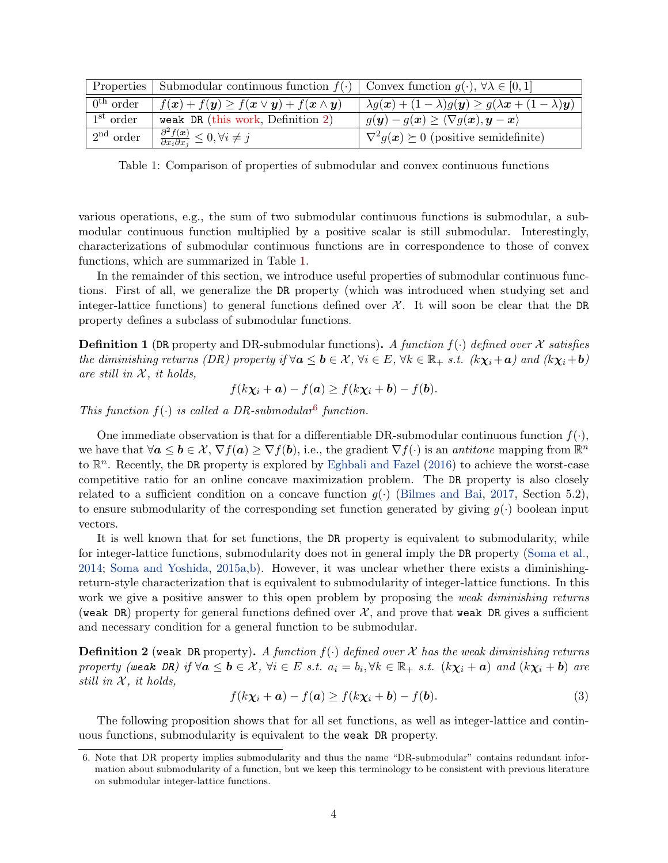<span id="page-4-1"></span>

|                       | Properties Submodular continuous function $f(\cdot)$ Convex function $g(\cdot), \forall \lambda \in [0,1]$                   |                                                                                                                         |
|-----------------------|------------------------------------------------------------------------------------------------------------------------------|-------------------------------------------------------------------------------------------------------------------------|
| $0^{\text{th}}$ order | $f(\boldsymbol{x}) + f(\boldsymbol{y}) \geq f(\boldsymbol{x} \vee \boldsymbol{y}) + f(\boldsymbol{x} \wedge \boldsymbol{y})$ | $\lambda g(x) + (1 - \lambda)g(y) \ge g(\lambda x + (1 - \lambda)y)$                                                    |
| 1 <sup>st</sup> order | weak DR (this work, Definition $2$ )                                                                                         | $g(\boldsymbol{y}) - g(\boldsymbol{x}) \geq \langle \nabla g(\boldsymbol{x}), \boldsymbol{y} - \boldsymbol{x} \rangle.$ |
| 2 <sup>nd</sup> order | $\frac{\partial^2 f(x)}{\partial x_i \partial x_j} \leq 0, \forall i \neq j$                                                 | $\nabla^2 g(x) \succeq 0$ (positive semidefinite)                                                                       |

Table 1: Comparison of properties of submodular and convex continuous functions

various operations, e.g., the sum of two submodular continuous functions is submodular, a submodular continuous function multiplied by a positive scalar is still submodular. Interestingly, characterizations of submodular continuous functions are in correspondence to those of convex functions, which are summarized in Table [1.](#page-4-1)

In the remainder of this section, we introduce useful properties of submodular continuous functions. First of all, we generalize the DR property (which was introduced when studying set and integer-lattice functions) to general functions defined over  $\mathcal{X}$ . It will soon be clear that the DR property defines a subclass of submodular functions.

<span id="page-4-3"></span>**Definition 1** (DR property and DR-submodular functions). A function  $f(\cdot)$  defined over X satisfies the diminishing returns (DR) property if  $\forall a \leq b \in \mathcal{X}$ ,  $\forall i \in E$ ,  $\forall k \in \mathbb{R}_+$  s.t.  $(k\chi_i + a)$  and  $(k\chi_i + b)$ are still in  $X$ , it holds,

<span id="page-4-4"></span>
$$
f(k\chi_i + \mathbf{a}) - f(\mathbf{a}) \ge f(k\chi_i + \mathbf{b}) - f(\mathbf{b}).
$$

This function  $f(\cdot)$  is called a DR-submodular<sup>[6](#page-4-2)</sup> function.

One immediate observation is that for a differentiable DR-submodular continuous function  $f(\cdot)$ , we have that  $\forall a \leq b \in \mathcal{X}, \nabla f(a) \geq \nabla f(b)$ , i.e., the gradient  $\nabla f(\cdot)$  is an *antitone* mapping from  $\mathbb{R}^n$ to  $\mathbb{R}^n$ . Recently, the DR property is explored by [Eghbali and Fazel](#page-15-11) [\(2016\)](#page-15-11) to achieve the worst-case competitive ratio for an online concave maximization problem. The DR property is also closely related to a sufficient condition on a concave function  $g(\cdot)$  [\(Bilmes and Bai,](#page-15-12) [2017,](#page-15-12) Section 5.2), to ensure submodularity of the corresponding set function generated by giving  $g(\cdot)$  boolean input vectors.

It is well known that for set functions, the DR property is equivalent to submodularity, while for integer-lattice functions, submodularity does not in general imply the DR property [\(Soma et al.,](#page-17-4) [2014;](#page-17-4) [Soma and Yoshida,](#page-17-13) [2015a,](#page-17-13)[b\)](#page-17-14). However, it was unclear whether there exists a diminishingreturn-style characterization that is equivalent to submodularity of integer-lattice functions. In this work we give a positive answer to this open problem by proposing the *weak diminishing returns* (weak DR) property for general functions defined over  $\mathcal{X}$ , and prove that weak DR gives a sufficient and necessary condition for a general function to be submodular.

<span id="page-4-0"></span>**Definition 2** (weak DR property). A function  $f(\cdot)$  defined over X has the weak diminishing returns property (weak DR) if  $\forall a \le b \in \mathcal{X}$ ,  $\forall i \in E$  s.t.  $a_i = b_i$ ,  $\forall k \in \mathbb{R}_+$  s.t.  $(k\chi_i + a)$  and  $(k\chi_i + b)$  are still in  $X$ , it holds,

$$
f(k\chi_i + \mathbf{a}) - f(\mathbf{a}) \ge f(k\chi_i + \mathbf{b}) - f(\mathbf{b}).
$$
\n(3)

The following proposition shows that for all set functions, as well as integer-lattice and continuous functions, submodularity is equivalent to the weak DR property.

<span id="page-4-2"></span><sup>6.</sup> Note that DR property implies submodularity and thus the name "DR-submodular" contains redundant information about submodularity of a function, but we keep this terminology to be consistent with previous literature on submodular integer-lattice functions.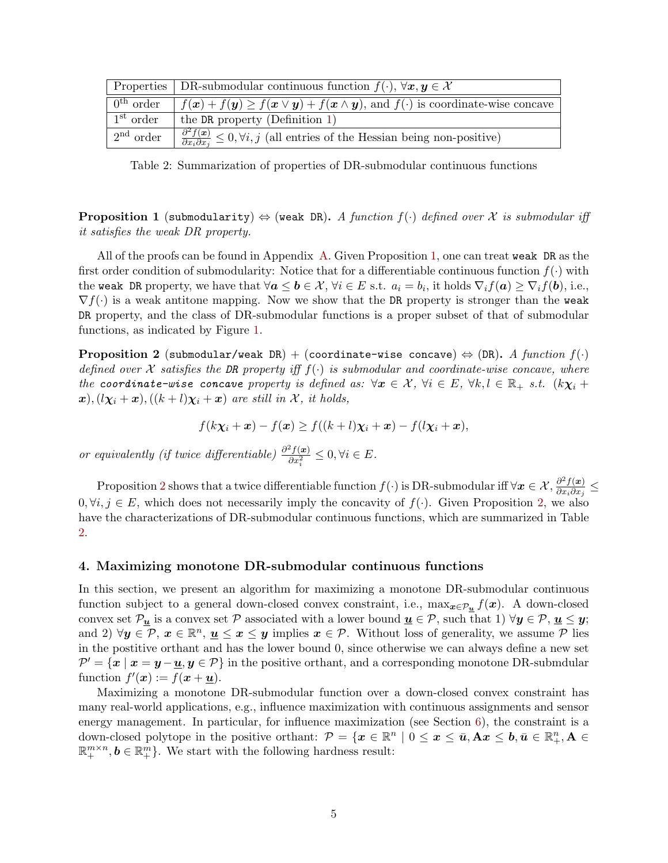<span id="page-5-3"></span>

|                       | Properties   DR-submodular continuous function $f(\cdot)$ , $\forall x, y \in \mathcal{X}$                                                      |
|-----------------------|-------------------------------------------------------------------------------------------------------------------------------------------------|
| $0^{\text{th}}$ order | $f(\mathbf{x}) + f(\mathbf{y}) \ge f(\mathbf{x} \vee \mathbf{y}) + f(\mathbf{x} \wedge \mathbf{y})$ , and $f(\cdot)$ is coordinate-wise concave |
| $1st$ order           | the DR property (Definition $1$ )                                                                                                               |
| $2nd$ order           | $\frac{\partial^2 f(x)}{\partial x_i \partial x_j} \leq 0, \forall i, j$ (all entries of the Hessian being non-positive)                        |

Table 2: Summarization of properties of DR-submodular continuous functions

<span id="page-5-1"></span>**Proposition 1** (submodularity)  $\Leftrightarrow$  (weak DR). A function  $f(\cdot)$  defined over X is submodular iff it satisfies the weak DR property.

All of the proofs can be found in Appendix [A.](#page-18-0) Given Proposition [1,](#page-5-1) one can treat weak DR as the first order condition of submodularity: Notice that for a differentiable continuous function  $f(\cdot)$  with the weak DR property, we have that  $\forall \bm{a}\le\bm{b}\in\mathcal{X},\, \forall i\in E \,\,\text{s.t.}\,\,\,a_i=b_i, \,\text{it holds}\,\,\nabla_i f(\bm{a})\ge \nabla_i f(\bm{b}), \,\text{i.e.,}$  $\nabla f(\cdot)$  is a weak antitone mapping. Now we show that the DR property is stronger than the weak DR property, and the class of DR-submodular functions is a proper subset of that of submodular functions, as indicated by Figure [1.](#page-3-2)

<span id="page-5-2"></span>**Proposition 2** (submodular/weak DR) + (coordinate-wise concave)  $\Leftrightarrow$  (DR). A function  $f(\cdot)$ defined over X satisfies the DR property iff  $f(\cdot)$  is submodular and coordinate-wise concave, where the coordinate-wise concave property is defined as:  $\forall x \in \mathcal{X}, \forall i \in E, \forall k, l \in \mathbb{R}_+$  s.t.  $(k\chi_i +$  $\mathbf{x}$ ),  $(l\chi_i + \mathbf{x})$ ,  $((k+l)\chi_i + \mathbf{x})$  are still in X, it holds,

$$
f(k\chi_i + \mathbf{x}) - f(\mathbf{x}) \ge f((k+l)\chi_i + \mathbf{x}) - f(l\chi_i + \mathbf{x}),
$$

or equivalently (if twice differentiable)  $\frac{\partial^2 f(x)}{\partial x^2}$  $\frac{\partial^2 J(\mathbf{x})}{\partial x_i^2} \leq 0, \forall i \in E.$ 

Proposition [2](#page-5-2) shows that a twice differentiable function  $f(\cdot)$  is DR-submodular iff  $\forall x \in \mathcal{X}, \frac{\partial^2 f(x)}{\partial x \cdot \partial x}$  $\frac{\partial^2 J(\bm{x})}{\partial x_i \partial x_j} \leq$  $0, \forall i, j \in E$ , which does not necessarily imply the concavity of  $f(.)$ . Given Proposition [2,](#page-5-2) we also have the characterizations of DR-submodular continuous functions, which are summarized in Table [2.](#page-5-3)

#### <span id="page-5-0"></span>4. Maximizing monotone DR-submodular continuous functions

In this section, we present an algorithm for maximizing a monotone DR-submodular continuous function subject to a general down-closed convex constraint, i.e.,  $\max_{x \in \mathcal{P}_u} f(x)$ . A down-closed convex set  $\mathcal{P}_{\underline{u}}$  is a convex set  $\mathcal P$  associated with a lower bound  $\underline{u} \in \mathcal P$ , such that 1)  $\forall y \in \mathcal P, \underline{u} \leq y$ ; and 2)  $\forall y \in \mathcal{P}, x \in \mathbb{R}^n, u \leq x \leq y$  implies  $x \in \mathcal{P}$ . Without loss of generality, we assume  $\mathcal{P}$  lies in the postitive orthant and has the lower bound 0, since otherwise we can always define a new set  $\mathcal{P}' = \{x \mid x = y - \underline{u}, y \in \mathcal{P}\}\$ in the positive orthant, and a corresponding monotone DR-submdular function  $f'(\boldsymbol{x}) := f(\boldsymbol{x} + \underline{\boldsymbol{u}}).$ 

Maximizing a monotone DR-submodular function over a down-closed convex constraint has many real-world applications, e.g., influence maximization with continuous assignments and sensor energy management. In particular, for influence maximization (see Section [6\)](#page-8-0), the constraint is a down-closed polytope in the positive orthant:  $\mathcal{P} = \{x \in \mathbb{R}^n \mid 0 \leq x \leq \bar{u}, \mathbf{A}x \leq b, \bar{u} \in \mathbb{R}_+^n, \mathbf{A} \in$  $\mathbb{R}^{m \times n}_+$ ,  $\mathbf{b} \in \mathbb{R}^m_+$ . We start with the following hardness result: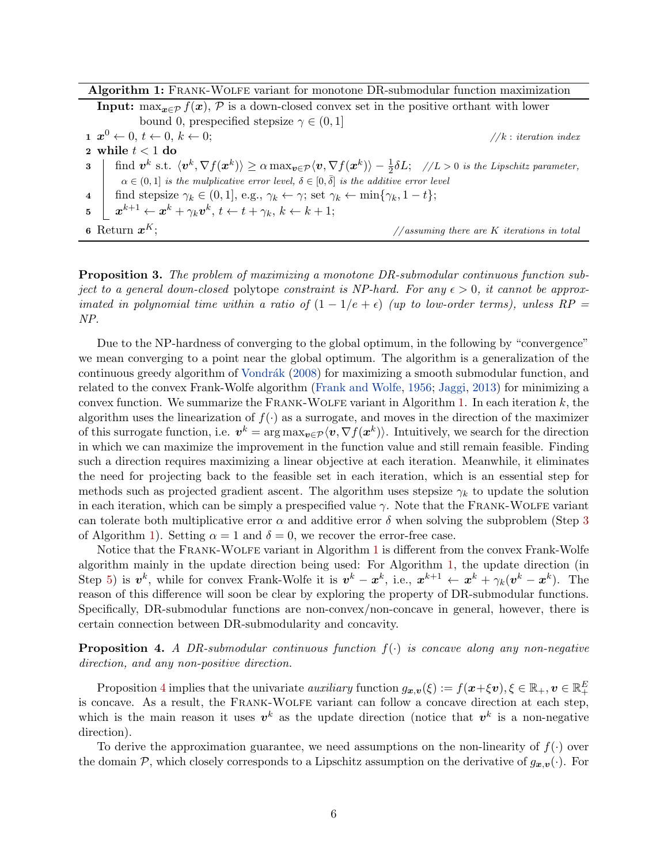<span id="page-6-1"></span><span id="page-6-0"></span>

| Algorithm 1: FRANK-WOLFE variant for monotone DR-submodular function maximization                                                                                                         |  |  |  |  |
|-------------------------------------------------------------------------------------------------------------------------------------------------------------------------------------------|--|--|--|--|
| <b>Input:</b> $\max_{x \in \mathcal{P}} f(x)$ , P is a down-closed convex set in the positive orthant with lower                                                                          |  |  |  |  |
| bound 0, prespecified stepsize $\gamma \in (0,1]$                                                                                                                                         |  |  |  |  |
| $\mathbf{1} \ \ \pmb{x}^0 \leftarrow 0, t \leftarrow 0, k \leftarrow 0;$<br>//k: iteration index                                                                                          |  |  |  |  |
| 2 while $t < 1$ do                                                                                                                                                                        |  |  |  |  |
| 3   find $v^k$ s.t. $\langle v^k, \nabla f(x^k) \rangle \ge \alpha \max_{v \in \mathcal{P}} \langle v, \nabla f(x^k) \rangle - \frac{1}{2} \delta L;$ //L > 0 is the Lipschitz parameter, |  |  |  |  |
| $\alpha \in (0,1]$ is the mulplicative error level, $\delta \in [0,\bar{\delta}]$ is the additive error level                                                                             |  |  |  |  |
| find stepsize $\gamma_k \in (0,1]$ , e.g., $\gamma_k \leftarrow \gamma$ ; set $\gamma_k \leftarrow \min\{\gamma_k, 1-t\}$ ;<br>$\overline{4}$                                             |  |  |  |  |
| 5 $\begin{array}{c} \mathbf{z} \end{array}$ $x^{k+1} \leftarrow x^k + \gamma_k \mathbf{v}^k$ , $t \leftarrow t + \gamma_k$ , $k \leftarrow k+1$ ;                                         |  |  |  |  |
| 6 Return $x^K$ :<br>$// assuming there are K iterations in total$                                                                                                                         |  |  |  |  |

<span id="page-6-4"></span><span id="page-6-2"></span>Proposition 3. The problem of maximizing a monotone DR-submodular continuous function subject to a general down-closed polytope constraint is NP-hard. For any  $\epsilon > 0$ , it cannot be approximated in polynomial time within a ratio of  $(1 - 1/e + \epsilon)$  (up to low-order terms), unless RP NP.

Due to the NP-hardness of converging to the global optimum, in the following by "convergence" we mean converging to a point near the global optimum. The algorithm is a generalization of the continuous greedy algorithm of Vondrák [\(2008\)](#page-17-2) for maximizing a smooth submodular function, and related to the convex Frank-Wolfe algorithm [\(Frank and Wolfe,](#page-15-6) [1956;](#page-15-6) [Jaggi,](#page-16-11) [2013\)](#page-16-11) for minimizing a convex function. We summarize the FRANK-WOLFE variant in Algorithm [1.](#page-6-0) In each iteration  $k$ , the algorithm uses the linearization of  $f(.)$  as a surrogate, and moves in the direction of the maximizer of this surrogate function, i.e.  $v^k = \arg \max_{v \in \mathcal{P}} \langle v, \nabla f(x^k) \rangle$ . Intuitively, we search for the direction in which we can maximize the improvement in the function value and still remain feasible. Finding such a direction requires maximizing a linear objective at each iteration. Meanwhile, it eliminates the need for projecting back to the feasible set in each iteration, which is an essential step for methods such as projected gradient ascent. The algorithm uses stepsize  $\gamma_k$  to update the solution in each iteration, which can be simply a prespecified value  $\gamma$ . Note that the FRANK-WOLFE variant can tolerate both multiplicative error  $\alpha$  and additive error  $\delta$  when solving the subproblem (Step [3](#page-6-1)) of Algorithm [1\)](#page-6-0). Setting  $\alpha = 1$  and  $\delta = 0$ , we recover the error-free case.

Notice that the Frank-Wolfe variant in Algorithm [1](#page-6-0) is different from the convex Frank-Wolfe algorithm mainly in the update direction being used: For Algorithm [1,](#page-6-0) the update direction (in Step [5\)](#page-6-2) is  $v^k$ , while for convex Frank-Wolfe it is  $v^k - x^k$ , i.e.,  $x^{k+1} \leftarrow x^k + \gamma_k (v^k - x^k)$ . The reason of this difference will soon be clear by exploring the property of DR-submodular functions. Specifically, DR-submodular functions are non-convex/non-concave in general, however, there is certain connection between DR-submodularity and concavity.

<span id="page-6-3"></span>**Proposition 4.** A DR-submodular continuous function  $f(\cdot)$  is concave along any non-negative direction, and any non-positive direction.

Proposition [4](#page-6-3) implies that the univariate *auxiliary* function  $g_{\bm{x},\bm{v}}(\xi) := f(\bm{x}+\xi \bm{v}), \xi \in \mathbb{R}_+$ ,  $\bm{v} \in \mathbb{R}_+^E$ is concave. As a result, the FRANK-WOLFE variant can follow a concave direction at each step, which is the main reason it uses  $v^k$  as the update direction (notice that  $v^k$  is a non-negative direction).

To derive the approximation guarantee, we need assumptions on the non-linearity of  $f(\cdot)$  over the domain  $P$ , which closely corresponds to a Lipschitz assumption on the derivative of  $g_{x,y}(\cdot)$ . For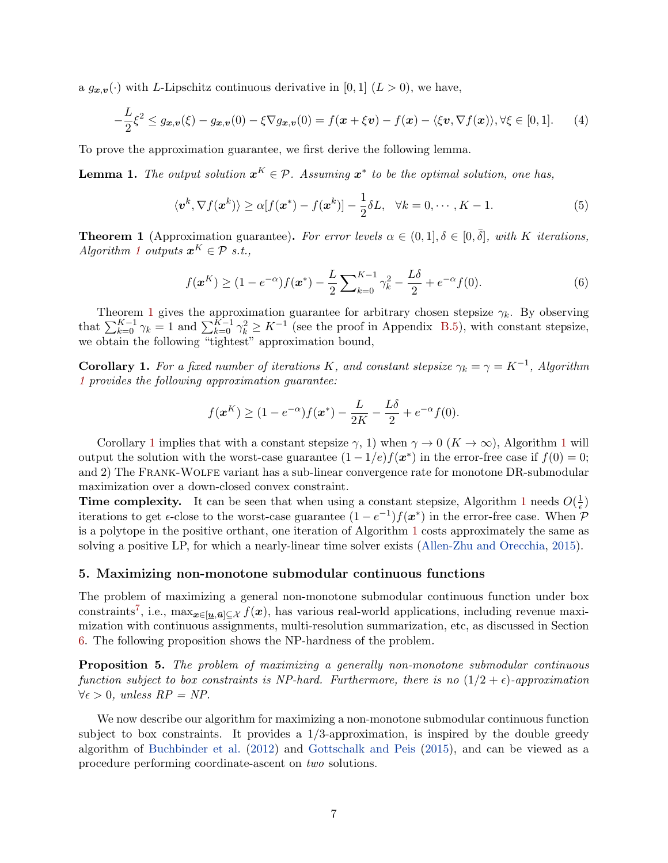a  $g_{\boldsymbol{x},\boldsymbol{v}}(\cdot)$  with L-Lipschitz continuous derivative in [0, 1]  $(L > 0)$ , we have,

$$
-\frac{L}{2}\xi^2 \le g_{\boldsymbol{x},\boldsymbol{v}}(\xi) - g_{\boldsymbol{x},\boldsymbol{v}}(0) - \xi \nabla g_{\boldsymbol{x},\boldsymbol{v}}(0) = f(\boldsymbol{x} + \xi \boldsymbol{v}) - f(\boldsymbol{x}) - \langle \xi \boldsymbol{v}, \nabla f(\boldsymbol{x}) \rangle, \forall \xi \in [0,1]. \tag{4}
$$

To prove the approximation guarantee, we first derive the following lemma.

<span id="page-7-3"></span>**Lemma 1.** The output solution  $x^K \in \mathcal{P}$ . Assuming  $x^*$  to be the optimal solution, one has,

<span id="page-7-4"></span>
$$
\langle \mathbf{v}^k, \nabla f(\mathbf{x}^k) \rangle \ge \alpha [f(\mathbf{x}^*) - f(\mathbf{x}^k)] - \frac{1}{2} \delta L, \quad \forall k = 0, \cdots, K - 1.
$$
 (5)

<span id="page-7-1"></span>**Theorem 1** (Approximation guarantee). For error levels  $\alpha \in (0,1], \delta \in [0,\overline{\delta}]$ , with K iterations, Algorithm [1](#page-6-0) outputs  $\mathbf{x}^K \in \mathcal{P}$  s.t.,

<span id="page-7-5"></span>
$$
f(\boldsymbol{x}^{K}) \ge (1 - e^{-\alpha}) f(\boldsymbol{x}^{*}) - \frac{L}{2} \sum_{k=0}^{K-1} \gamma_{k}^{2} - \frac{L\delta}{2} + e^{-\alpha} f(0). \tag{6}
$$

Theorem [1](#page-7-1) gives the approximation guarantee for arbitrary chosen stepsize  $\gamma_k$ . By observing that  $\sum_{k=0}^{K-1} \gamma_k = 1$  and  $\sum_{k=0}^{K-1} \gamma_k^2 \geq K^{-1}$  (see the proof in Appendix [B.5\)](#page-21-0), with constant stepsize, we obtain the following "tightest" approximation bound,

<span id="page-7-2"></span>**Corollary 1.** For a fixed number of iterations K, and constant stepsize  $\gamma_k = \gamma = K^{-1}$ , Algorithm [1](#page-6-0) provides the following approximation guarantee:

$$
f(\mathbf{x}^{K}) \ge (1 - e^{-\alpha})f(\mathbf{x}^{*}) - \frac{L}{2K} - \frac{L\delta}{2} + e^{-\alpha}f(0).
$$

Corollary [1](#page-6-0) implies that with a constant stepsize  $\gamma$ , 1) when  $\gamma \to 0$  ( $K \to \infty$ ), Algorithm 1 will output the solution with the worst-case guarantee  $(1 - 1/e) f(x^*)$  in the error-free case if  $f(0) = 0$ ; and 2) The Frank-Wolfe variant has a sub-linear convergence rate for monotone DR-submodular maximization over a down-closed convex constraint.

**Time complexity.** It can be seen that when using a constant stepsize, Algorithm [1](#page-6-0) needs  $O(\frac{1}{\epsilon})$  $(\frac{1}{\epsilon})$ iterations to get  $\epsilon$ -close to the worst-case guarantee  $(1 - e^{-1})f(x^*)$  in the error-free case. When  $\mathcal{P}$ is a polytope in the positive orthant, one iteration of Algorithm [1](#page-6-0) costs approximately the same as solving a positive LP, for which a nearly-linear time solver exists [\(Allen-Zhu and Orecchia,](#page-15-13) [2015\)](#page-15-13).

#### <span id="page-7-0"></span>5. Maximizing non-monotone submodular continuous functions

The problem of maximizing a general non-monotone submodular continuous function under box constraints<sup>[7](#page-8-1)</sup>, i.e.,  $\max_{x \in [\underline{u}, \bar{u}] \subseteq \mathcal{X}} f(x)$ , has various real-world applications, including revenue maximization with continuous assignments, multi-resolution summarization, etc, as discussed in Section [6.](#page-8-0) The following proposition shows the NP-hardness of the problem.

<span id="page-7-6"></span>Proposition 5. The problem of maximizing a generally non-monotone submodular continuous function subject to box constraints is NP-hard. Furthermore, there is no  $(1/2 + \epsilon)$ -approximation  $\forall \epsilon > 0$ , unless  $RP = NP$ .

We now describe our algorithm for maximizing a non-monotone submodular continuous function subject to box constraints. It provides a 1/3-approximation, is inspired by the double greedy algorithm of [Buchbinder et al.](#page-15-7) [\(2012\)](#page-15-7) and [Gottschalk and Peis](#page-16-7) [\(2015\)](#page-16-7), and can be viewed as a procedure performing coordinate-ascent on two solutions.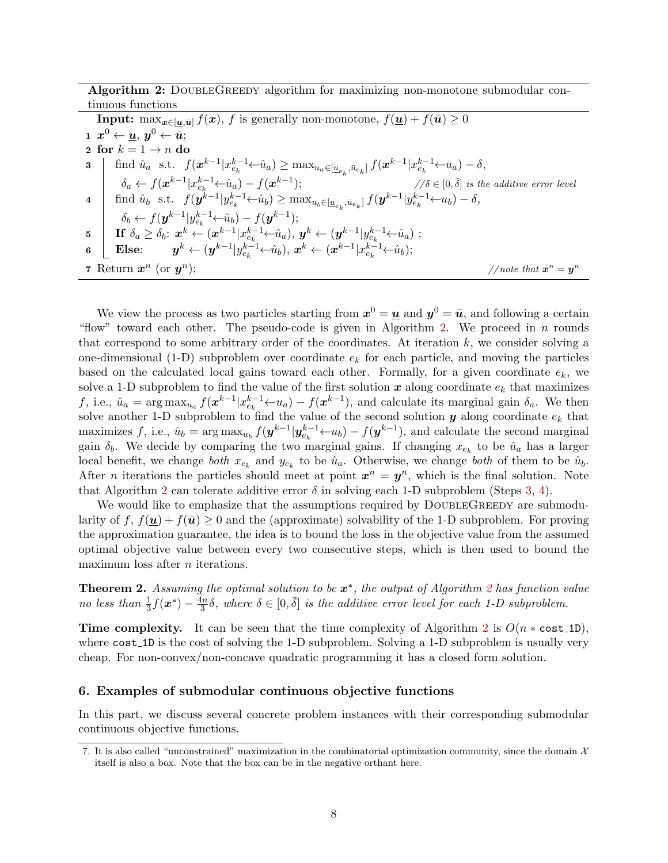Algorithm 2: DOUBLEGREEDY algorithm for maximizing non-monotone submodular continuous functions

<span id="page-8-4"></span><span id="page-8-3"></span><span id="page-8-2"></span>

| <b>Input:</b> max <sub><math>x \in [\underline{u}, \bar{u}]</math> <math>f(x)</math>, f is generally non-monotone, <math>f(\underline{u}) + f(\bar{u}) \ge 0</math></sub>                                 |                                           |  |  |  |
|-----------------------------------------------------------------------------------------------------------------------------------------------------------------------------------------------------------|-------------------------------------------|--|--|--|
| $\mathbf{1} \ \ \pmb{x}^0 \leftarrow \pmb{u}, \ \pmb{y}^0 \leftarrow \bar{\pmb{u}};$                                                                                                                      |                                           |  |  |  |
| 2 for $k = 1 \rightarrow n$ do                                                                                                                                                                            |                                           |  |  |  |
| 3   find $\hat{u}_a$ s.t. $f(\mathbf{x}^{k-1}   x_{e_k}^{k-1} \leftarrow \hat{u}_a) \ge \max_{u_a \in [\underline{u}_{e_L}, \bar{u}_{e_L}]} f(\mathbf{x}^{k-1}   x_{e_k}^{k-1} \leftarrow u_a) - \delta,$ |                                           |  |  |  |
| $\delta_a \leftarrow f(\boldsymbol{x}^{k-1}   x_{e_1}^{k-1} \leftarrow \hat{u}_a) - f(\boldsymbol{x}^{k-1});$<br>$/\delta \in [0,\overline{\delta}]$ is the additive error level                          |                                           |  |  |  |
| 4 find $\hat{u}_b$ s.t. $f(\mathbf{y}^{k-1}   y_{e_k}^{k-1} \leftarrow \hat{u}_b) \ge \max_{u_b \in [\underline{u}_e, \ \bar{u}_{e_b}]} f(\mathbf{y}^{k-1}   y_{e_k}^{k-1} \leftarrow u_b) - \delta,$     |                                           |  |  |  |
| $\delta_b \leftarrow f(\mathbf{y}^{k-1}   y_{e_h}^{k-1} \leftarrow \hat{u}_b) - f(\mathbf{y}^{k-1});$                                                                                                     |                                           |  |  |  |
| 5   If $\delta_a \geq \delta_b$ : $x^k \leftarrow (x^{k-1} x_{e_k}^{k-1} \leftarrow \hat{u}_a)$ , $y^k \leftarrow (y^{k-1} y_{e_k}^{k-1} \leftarrow \hat{u}_a)$ ;                                         |                                           |  |  |  |
| <b>Else:</b> $y^k \leftarrow (y^{k-1}   y_{e_1}^{k-1} \leftarrow \hat{u}_b), x^k \leftarrow (x^{k-1}   x_{e_1}^{k-1} \leftarrow \hat{u}_b);$<br>$6\phantom{.0}$                                           |                                           |  |  |  |
| 7 Return $x^n$ (or $y^n$ );                                                                                                                                                                               | //note that $\mathbf{x}^n = \mathbf{y}^n$ |  |  |  |

We view the process as two particles starting from  $x^0 = \underline{u}$  and  $y^0 = \bar{u}$ , and following a certain "flow" toward each other. The pseudo-code is given in Algorithm [2.](#page-8-2) We proceed in n rounds that correspond to some arbitrary order of the coordinates. At iteration  $k$ , we consider solving a one-dimensional (1-D) subproblem over coordinate  $e_k$  for each particle, and moving the particles based on the calculated local gains toward each other. Formally, for a given coordinate  $e_k$ , we solve a 1-D subproblem to find the value of the first solution  $x$  along coordinate  $e_k$  that maximizes f, i.e.,  $\hat{u}_a = \arg \max_{u_a} f(x^{k-1} | x_{e_k}^{k-1} \leftarrow u_a) - f(x^{k-1}),$  and calculate its marginal gain  $\delta_a$ . We then solve another 1-D subproblem to find the value of the second solution  $y$  along coordinate  $e_k$  that maximizes f, i.e.,  $\hat{u}_b = \arg \max_{u_b} f(\mathbf{y}^{k-1}|\mathbf{y}_{e_k}^{k-1} \leftarrow u_b) - f(\mathbf{y}^{k-1})$ , and calculate the second marginal gain  $\delta_b$ . We decide by comparing the two marginal gains. If changing  $x_{e_k}$  to be  $\hat{u}_a$  has a larger local benefit, we change *both*  $x_{e_k}$  and  $y_{e_k}$  to be  $\hat{u}_a$ . Otherwise, we change *both* of them to be  $\hat{u}_b$ . After *n* iterations the particles should meet at point  $x^n = y^n$ , which is the final solution. Note that Algorithm [2](#page-8-2) can tolerate additive error  $\delta$  in solving each 1-D subproblem (Steps [3,](#page-8-3) [4\)](#page-8-4).

We would like to emphasize that the assumptions required by DOUBLEGREEDY are submodularity of f,  $f(\mathbf{u}) + f(\bar{\mathbf{u}}) \geq 0$  and the (approximate) solvability of the 1-D subproblem. For proving the approximation guarantee, the idea is to bound the loss in the objective value from the assumed optimal objective value between every two consecutive steps, which is then used to bound the maximum loss after *n* iterations.

<span id="page-8-5"></span>**Theorem [2](#page-8-2).** Assuming the optimal solution to be  $x^*$ , the output of Algorithm 2 has function value no less than  $\frac{1}{3}f(\boldsymbol{x}^*) - \frac{4n}{3}$  $\frac{\sinh \delta}{\sinh \delta}$ , where  $\delta \in [0, \bar{\delta}]$  is the additive error level for each 1-D subproblem.

Time complexity. It can be seen that the time complexity of Algorithm [2](#page-8-2) is  $O(n * cost_1D)$ , where  $cost_1D$  is the cost of solving the 1-D subproblem. Solving a 1-D subproblem is usually very cheap. For non-convex/non-concave quadratic programming it has a closed form solution.

#### <span id="page-8-0"></span>6. Examples of submodular continuous objective functions

In this part, we discuss several concrete problem instances with their corresponding submodular continuous objective functions.

<span id="page-8-1"></span><sup>7.</sup> It is also called "unconstrained" maximization in the combinatorial optimization community, since the domain  $\mathcal X$ itself is also a box. Note that the box can be in the negative orthant here.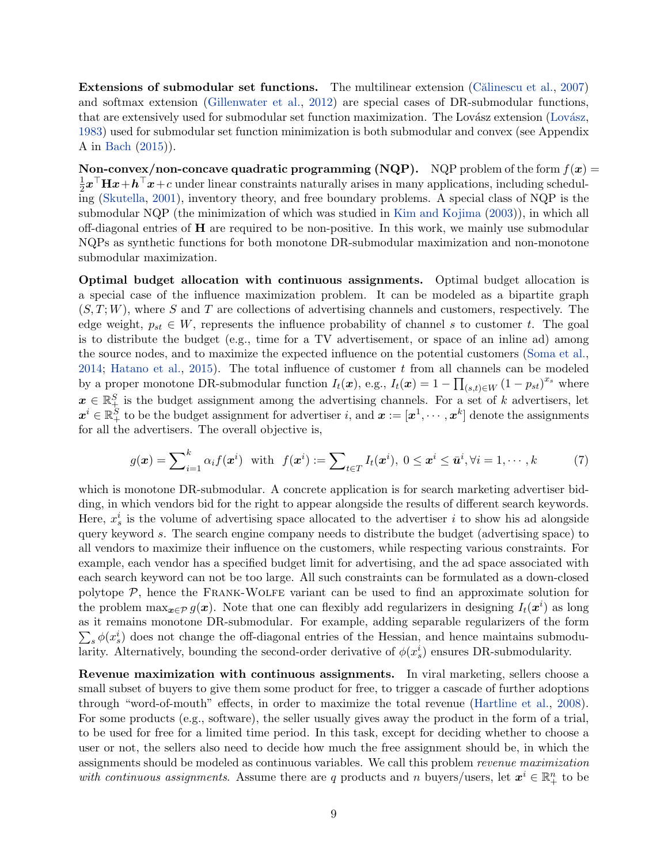Extensions of submodular set functions. The multilinear extension (Calinescu et al., [2007\)](#page-15-8) and softmax extension [\(Gillenwater et al.,](#page-15-14) [2012\)](#page-15-14) are special cases of DR-submodular functions, that are extensively used for submodular set function maximization. The Lovász extension (Lovász, [1983\)](#page-16-12) used for submodular set function minimization is both submodular and convex (see Appendix A in [Bach](#page-15-5) [\(2015\)](#page-15-5)).

Non-convex/non-concave quadratic programming (NQP). NQP problem of the form  $f(x) =$ 1  $\frac{1}{2}x^{\top}Hx+h^{\top}x+c$  under linear constraints naturally arises in many applications, including scheduling [\(Skutella,](#page-17-15) [2001\)](#page-17-15), inventory theory, and free boundary problems. A special class of NQP is the submodular NQP (the minimization of which was studied in [Kim and Kojima](#page-16-13) [\(2003\)](#page-16-13)), in which all off-diagonal entries of H are required to be non-positive. In this work, we mainly use submodular NQPs as synthetic functions for both monotone DR-submodular maximization and non-monotone submodular maximization.

Optimal budget allocation with continuous assignments. Optimal budget allocation is a special case of the influence maximization problem. It can be modeled as a bipartite graph  $(S, T; W)$ , where S and T are collections of advertising channels and customers, respectively. The edge weight,  $p_{st} \in W$ , represents the influence probability of channel s to customer t. The goal is to distribute the budget (e.g., time for a TV advertisement, or space of an inline ad) among the source nodes, and to maximize the expected influence on the potential customers [\(Soma et al.,](#page-17-4) [2014;](#page-17-4) [Hatano et al.,](#page-16-14) [2015\)](#page-16-14). The total influence of customer  $t$  from all channels can be modeled by a proper monotone DR-submodular function  $I_t(\boldsymbol{x})$ , e.g.,  $I_t(\boldsymbol{x}) = 1 - \prod_{(s,t) \in W} (1 - p_{st})^{x_s}$  where  $x \in \mathbb{R}^S_+$  is the budget assignment among the advertising channels. For a set of k advertisers, let  $\bm{x}^i \in \mathbb{R}_+^S$  to be the budget assignment for advertiser  $i$ , and  $\bm{x} := [\bm{x}^1, \cdots, \bm{x}^k]$  denote the assignments for all the advertisers. The overall objective is,

<span id="page-9-0"></span>
$$
g(\boldsymbol{x}) = \sum_{i=1}^{k} \alpha_i f(\boldsymbol{x}^i) \quad \text{with} \quad f(\boldsymbol{x}^i) := \sum_{t \in T} I_t(\boldsymbol{x}^i), \ 0 \le \boldsymbol{x}^i \le \bar{\boldsymbol{u}}^i, \forall i = 1, \cdots, k \tag{7}
$$

which is monotone DR-submodular. A concrete application is for search marketing advertiser bidding, in which vendors bid for the right to appear alongside the results of different search keywords. Here,  $x_s^i$  is the volume of advertising space allocated to the advertiser i to show his ad alongside query keyword s. The search engine company needs to distribute the budget (advertising space) to all vendors to maximize their influence on the customers, while respecting various constraints. For example, each vendor has a specified budget limit for advertising, and the ad space associated with each search keyword can not be too large. All such constraints can be formulated as a down-closed polytope  $P$ , hence the FRANK-WOLFE variant can be used to find an approximate solution for the problem  $\max_{\bm{x} \in \mathcal{P}} g(\bm{x})$ . Note that one can flexibly add regularizers in designing  $I_t(\bm{x}^i)$  as long as it remains monotone DR-submodular. For example, adding separable regularizers of the form  $\sum_s \phi(x_s^i)$  does not change the off-diagonal entries of the Hessian, and hence maintains submodularity. Alternatively, bounding the second-order derivative of  $\phi(x_s^i)$  ensures DR-submodularity.

Revenue maximization with continuous assignments. In viral marketing, sellers choose a small subset of buyers to give them some product for free, to trigger a cascade of further adoptions through "word-of-mouth" effects, in order to maximize the total revenue [\(Hartline et al.,](#page-16-15) [2008\)](#page-16-15). For some products (e.g., software), the seller usually gives away the product in the form of a trial, to be used for free for a limited time period. In this task, except for deciding whether to choose a user or not, the sellers also need to decide how much the free assignment should be, in which the assignments should be modeled as continuous variables. We call this problem revenue maximization with continuous assignments. Assume there are q products and n buyers/users, let  $x^i \in \mathbb{R}^n_+$  to be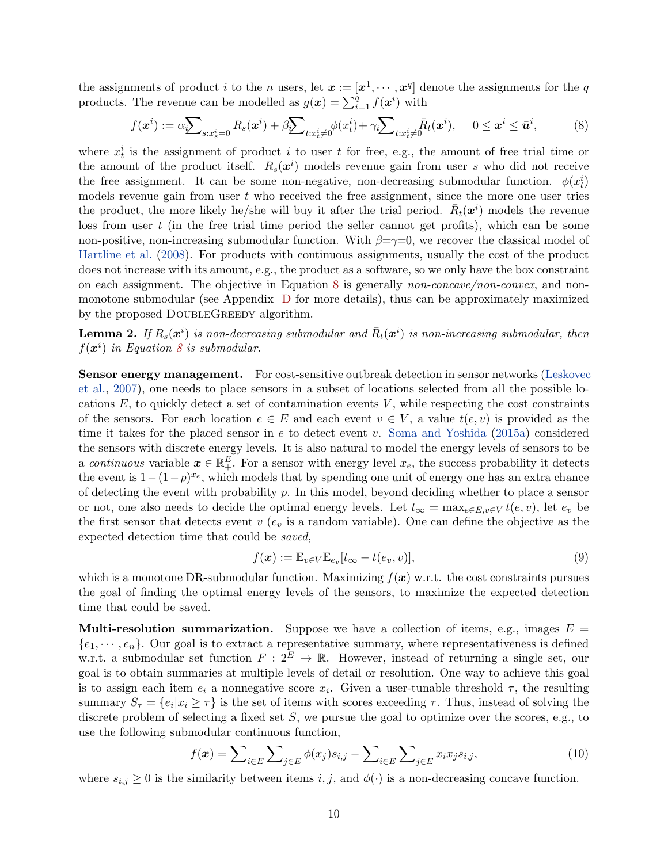the assignments of product i to the n users, let  $x := [x^1, \dots, x^q]$  denote the assignments for the q products. The revenue can be modelled as  $g(\boldsymbol{x}) = \sum_{i=1}^{q} f(\boldsymbol{x}^i)$  with

<span id="page-10-0"></span>
$$
f(\boldsymbol{x}^i) := \alpha \sum_{s: x_s^i = 0} R_s(\boldsymbol{x}^i) + \beta \sum_{t: x_t^i \neq 0} \phi(x_t^i) + \gamma \sum_{t: x_t^i \neq 0} \bar{R}_t(\boldsymbol{x}^i), \quad 0 \le \boldsymbol{x}^i \le \bar{\boldsymbol{u}}^i,
$$
 (8)

where  $x_t^i$  is the assignment of product i to user t for free, e.g., the amount of free trial time or the amount of the product itself.  $R_s(\mathbf{x}^i)$  models revenue gain from user s who did not receive the free assignment. It can be some non-negative, non-decreasing submodular function.  $\phi(x_t^i)$ models revenue gain from user  $t$  who received the free assignment, since the more one user tries the product, the more likely he/she will buy it after the trial period.  $\bar{R}_t(x^i)$  models the revenue loss from user  $t$  (in the free trial time period the seller cannot get profits), which can be some non-positive, non-increasing submodular function. With  $\beta = \gamma = 0$ , we recover the classical model of [Hartline et al.](#page-16-15) [\(2008\)](#page-16-15). For products with continuous assignments, usually the cost of the product does not increase with its amount, e.g., the product as a software, so we only have the box constraint on each assignment. The objective in Equation [8](#page-10-0) is generally *non-concave/non-convex*, and nonmonotone submodular (see Appendix [D](#page-25-0) for more details), thus can be approximately maximized by the proposed DOUBLEGREEDY algorithm.

<span id="page-10-1"></span>**Lemma 2.** If  $R_s(\boldsymbol{x}^i)$  is non-decreasing submodular and  $\bar{R}_t(\boldsymbol{x}^i)$  is non-increasing submodular, then  $f(\boldsymbol{x}^i)$  in Equation [8](#page-10-0) is submodular.

Sensor energy management. For cost-sensitive outbreak detection in sensor networks [\(Leskovec](#page-16-16) [et al.,](#page-16-16) [2007\)](#page-16-16), one needs to place sensors in a subset of locations selected from all the possible locations  $E$ , to quickly detect a set of contamination events  $V$ , while respecting the cost constraints of the sensors. For each location  $e \in E$  and each event  $v \in V$ , a value  $t(e, v)$  is provided as the time it takes for the placed sensor in e to detect event v. [Soma and Yoshida](#page-17-13) [\(2015a\)](#page-17-13) considered the sensors with discrete energy levels. It is also natural to model the energy levels of sensors to be a continuous variable  $x \in \mathbb{R}^E_+$ . For a sensor with energy level  $x_e$ , the success probability it detects the event is  $1-(1-p)^{x_e}$ , which models that by spending one unit of energy one has an extra chance of detecting the event with probability  $p$ . In this model, beyond deciding whether to place a sensor or not, one also needs to decide the optimal energy levels. Let  $t_{\infty} = \max_{e \in E, v \in V} t(e, v)$ , let  $e_v$  be the first sensor that detects event  $v(e_v)$  is a random variable). One can define the objective as the expected detection time that could be saved,

$$
f(\boldsymbol{x}) := \mathbb{E}_{v \in V} \mathbb{E}_{e_v} [t_{\infty} - t(e_v, v)],
$$
\n(9)

which is a monotone DR-submodular function. Maximizing  $f(x)$  w.r.t. the cost constraints pursues the goal of finding the optimal energy levels of the sensors, to maximize the expected detection time that could be saved.

**Multi-resolution summarization.** Suppose we have a collection of items, e.g., images  $E =$  ${e_1, \dots, e_n}$ . Our goal is to extract a representative summary, where representativeness is defined w.r.t. a submodular set function  $F: 2^E \to \mathbb{R}$ . However, instead of returning a single set, our goal is to obtain summaries at multiple levels of detail or resolution. One way to achieve this goal is to assign each item  $e_i$  a nonnegative score  $x_i$ . Given a user-tunable threshold  $\tau$ , the resulting summary  $S_{\tau} = \{e_i | x_i \geq \tau\}$  is the set of items with scores exceeding  $\tau$ . Thus, instead of solving the discrete problem of selecting a fixed set  $S$ , we pursue the goal to optimize over the scores, e.g., to use the following submodular continuous function,

$$
f(\boldsymbol{x}) = \sum_{i \in E} \sum_{j \in E} \phi(x_j) s_{i,j} - \sum_{i \in E} \sum_{j \in E} x_i x_j s_{i,j}, \qquad (10)
$$

where  $s_{i,j} \geq 0$  is the similarity between items  $i, j$ , and  $\phi(\cdot)$  is a non-decreasing concave function.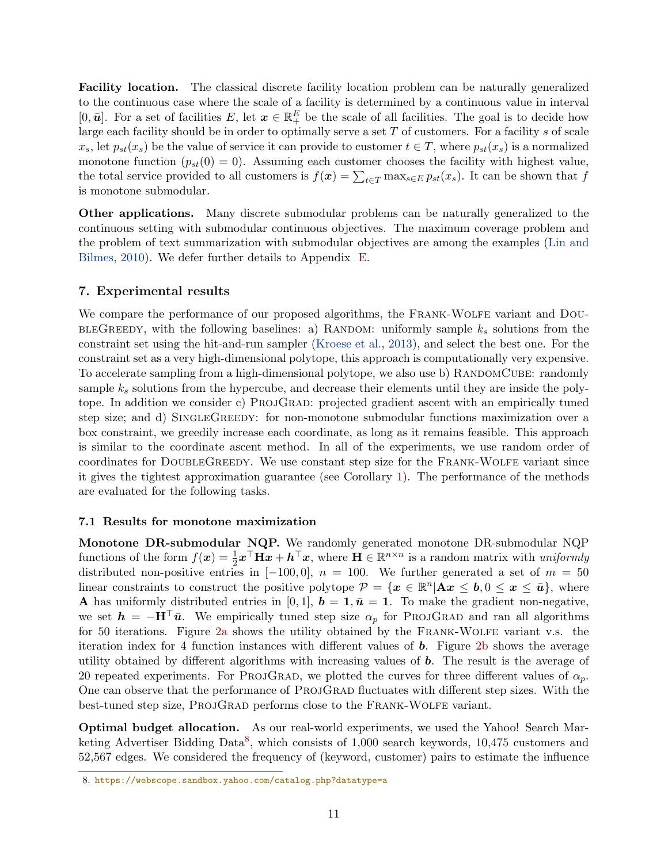Facility location. The classical discrete facility location problem can be naturally generalized to the continuous case where the scale of a facility is determined by a continuous value in interval [0,  $\bar{u}$ ]. For a set of facilities E, let  $x \in \mathbb{R}^E_+$  be the scale of all facilities. The goal is to decide how large each facility should be in order to optimally serve a set  $T$  of customers. For a facility  $s$  of scale  $x_s$ , let  $p_{st}(x_s)$  be the value of service it can provide to customer  $t \in T$ , where  $p_{st}(x_s)$  is a normalized monotone function  $(p_{st}(0) = 0)$ . Assuming each customer chooses the facility with highest value, the total service provided to all customers is  $f(x) = \sum_{t \in T} \max_{s \in E} p_{st}(x_s)$ . It can be shown that f is monotone submodular.

Other applications. Many discrete submodular problems can be naturally generalized to the continuous setting with submodular continuous objectives. The maximum coverage problem and the problem of text summarization with submodular objectives are among the examples [\(Lin and](#page-16-17) [Bilmes,](#page-16-17) [2010\)](#page-16-17). We defer further details to Appendix [E.](#page-26-0)

#### <span id="page-11-0"></span>7. Experimental results

We compare the performance of our proposed algorithms, the FRANK-WOLFE variant and DOU-BLEGREEDY, with the following baselines: a) RANDOM: uniformly sample  $k_s$  solutions from the constraint set using the hit-and-run sampler [\(Kroese et al.,](#page-16-18) [2013\)](#page-16-18), and select the best one. For the constraint set as a very high-dimensional polytope, this approach is computationally very expensive. To accelerate sampling from a high-dimensional polytope, we also use b) RANDOMCUBE: randomly sample  $k_s$  solutions from the hypercube, and decrease their elements until they are inside the polytope. In addition we consider c) ProjGrad: projected gradient ascent with an empirically tuned step size; and d) SINGLEGREEDY: for non-monotone submodular functions maximization over a box constraint, we greedily increase each coordinate, as long as it remains feasible. This approach is similar to the coordinate ascent method. In all of the experiments, we use random order of coordinates for DOUBLEGREEDY. We use constant step size for the FRANK-WOLFE variant since it gives the tightest approximation guarantee (see Corollary [1\)](#page-7-2). The performance of the methods are evaluated for the following tasks.

#### 7.1 Results for monotone maximization

Monotone DR-submodular NQP. We randomly generated monotone DR-submodular NQP functions of the form  $f(x) = \frac{1}{2}x^{\top}Hx + h^{\top}x$ , where  $H \in \mathbb{R}^{n \times n}$  is a random matrix with uniformly distributed non-positive entries in  $[-100, 0]$ ,  $n = 100$ . We further generated a set of  $m = 50$ linear constraints to construct the positive polytope  $\mathcal{P} = \{x \in \mathbb{R}^n | Ax \leq b, 0 \leq x \leq \bar{u}\}\,$ , where **A** has uniformly distributed entries in [0, 1],  $\mathbf{b} = \mathbf{1}, \bar{\mathbf{u}} = \mathbf{1}$ . To make the gradient non-negative, we set  $h = -H^{\top} \bar{u}$ . We empirically tuned step size  $\alpha_p$  for PROJGRAD and ran all algorithms for 50 iterations. Figure [2a](#page-12-0) shows the utility obtained by the FRANK-WOLFE variant v.s. the iteration index for 4 function instances with different values of b. Figure [2b](#page-12-1) shows the average utility obtained by different algorithms with increasing values of b. The result is the average of 20 repeated experiments. For PROJGRAD, we plotted the curves for three different values of  $\alpha_p$ . One can observe that the performance of PROJGRAD fluctuates with different step sizes. With the best-tuned step size, ProjGrad performs close to the Frank-Wolfe variant.

Optimal budget allocation. As our real-world experiments, we used the Yahoo! Search Mar-keting Advertiser Bidding Data<sup>[8](#page-11-1)</sup>, which consists of 1,000 search keywords, 10,475 customers and 52,567 edges. We considered the frequency of (keyword, customer) pairs to estimate the influence

<span id="page-11-1"></span><sup>8.</sup> <https://webscope.sandbox.yahoo.com/catalog.php?datatype=a>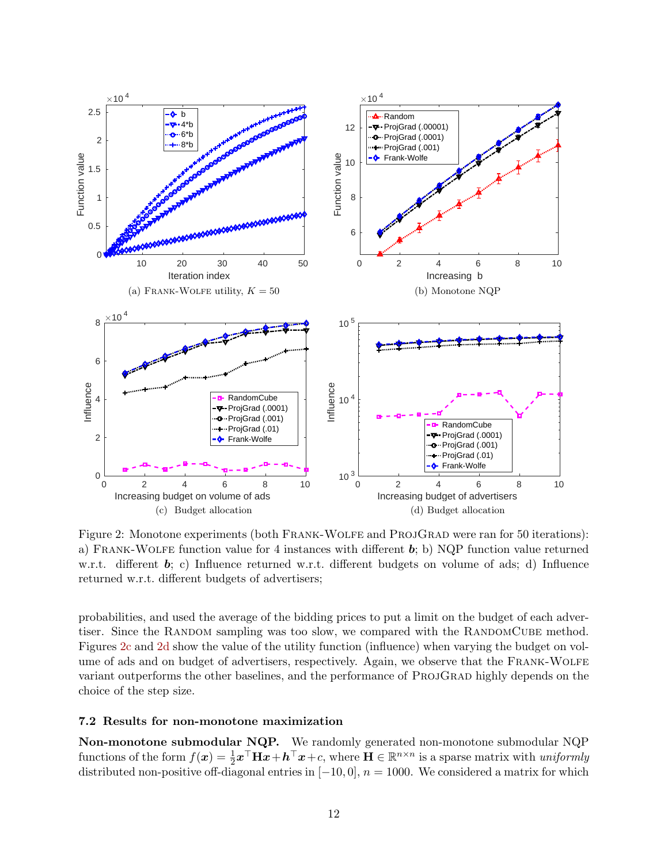<span id="page-12-1"></span><span id="page-12-0"></span>

<span id="page-12-3"></span><span id="page-12-2"></span>Figure 2: Monotone experiments (both FRANK-WOLFE and PROJGRAD were ran for 50 iterations): a) FRANK-WOLFE function value for 4 instances with different  $\mathbf{b}$ ; b) NQP function value returned w.r.t. different b; c) Influence returned w.r.t. different budgets on volume of ads; d) Influence returned w.r.t. different budgets of advertisers;

probabilities, and used the average of the bidding prices to put a limit on the budget of each advertiser. Since the RANDOM sampling was too slow, we compared with the RANDOMCUBE method. Figures [2c](#page-12-2) and [2d](#page-12-3) show the value of the utility function (influence) when varying the budget on volume of ads and on budget of advertisers, respectively. Again, we observe that the FRANK-WOLFE variant outperforms the other baselines, and the performance of PROJGRAD highly depends on the choice of the step size.

#### 7.2 Results for non-monotone maximization

Non-monotone submodular NQP. We randomly generated non-monotone submodular NQP functions of the form  $f(x) = \frac{1}{2}x^{\top}Hx + h^{\top}x + c$ , where  $H \in \mathbb{R}^{n \times n}$  is a sparse matrix with uniformly distributed non-positive off-diagonal entries in  $[-10, 0]$ ,  $n = 1000$ . We considered a matrix for which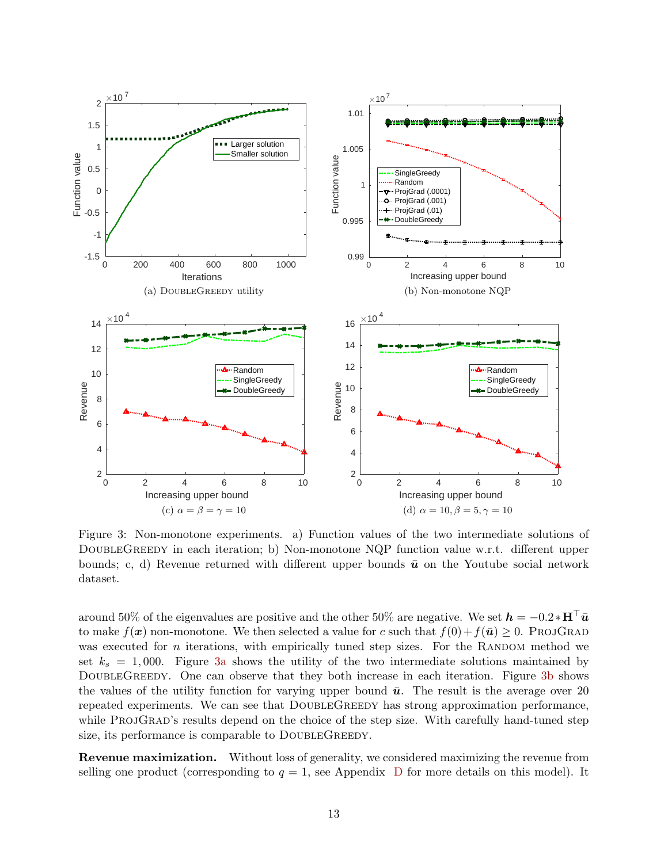<span id="page-13-1"></span><span id="page-13-0"></span>

<span id="page-13-3"></span><span id="page-13-2"></span>Figure 3: Non-monotone experiments. a) Function values of the two intermediate solutions of DOUBLEGREEDY in each iteration; b) Non-monotone NQP function value w.r.t. different upper bounds; c, d) Revenue returned with different upper bounds  $\bar{u}$  on the Youtube social network dataset.

around 50% of the eigenvalues are positive and the other 50% are negative. We set  $h = -0.2 * H^{\top} \bar{u}$ to make  $f(\mathbf{x})$  non-monotone. We then selected a value for c such that  $f(0) + f(\bar{u}) \geq 0$ . PROJGRAD was executed for  $n$  iterations, with empirically tuned step sizes. For the RANDOM method we set  $k_s = 1,000$ . Figure [3a](#page-13-0) shows the utility of the two intermediate solutions maintained by DOUBLEGREEDY. One can observe that they both increase in each iteration. Figure [3b](#page-13-1) shows the values of the utility function for varying upper bound  $\bar{u}$ . The result is the average over 20 repeated experiments. We can see that DOUBLEGREEDY has strong approximation performance, while PROJGRAD's results depend on the choice of the step size. With carefully hand-tuned step size, its performance is comparable to DOUBLEGREEDY.

Revenue maximization. Without loss of generality, we considered maximizing the revenue from selling one product (corresponding to  $q = 1$ , see Appendix [D](#page-25-0) for more details on this model). It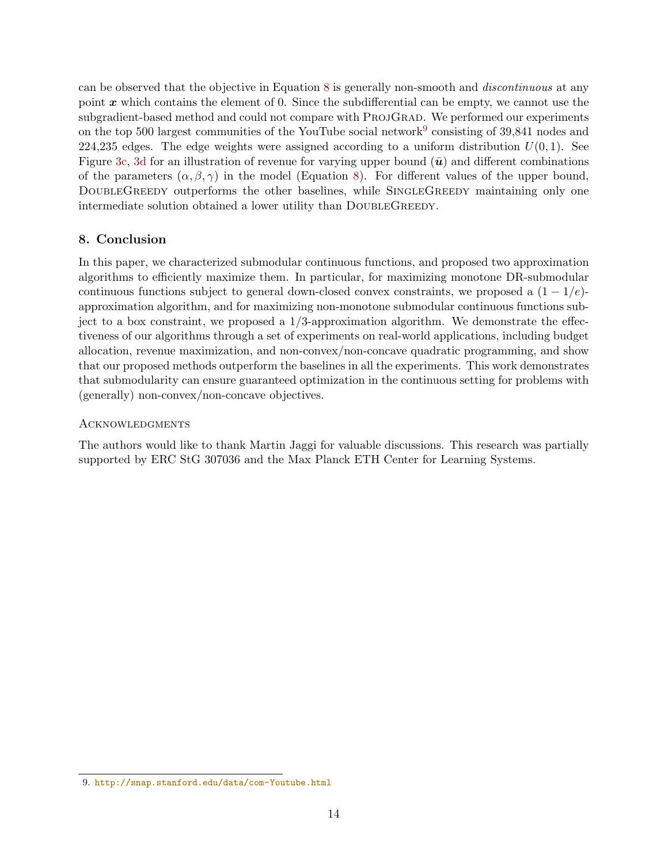can be observed that the objective in Equation [8](#page-10-0) is generally non-smooth and discontinuous at any point  $x$  which contains the element of 0. Since the subdifferential can be empty, we cannot use the subgradient-based method and could not compare with PROJGRAD. We performed our experiments on the top 500 largest communities of the YouTube social network<sup>[9](#page-14-0)</sup> consisting of 39,841 nodes and 224,235 edges. The edge weights were assigned according to a uniform distribution  $U(0, 1)$ . See Figure [3c,](#page-13-2) [3d](#page-13-3) for an illustration of revenue for varying upper bound  $(\bar{u})$  and different combinations of the parameters  $(\alpha, \beta, \gamma)$  in the model (Equation [8\)](#page-10-0). For different values of the upper bound, DOUBLEGREEDY outperforms the other baselines, while SINGLEGREEDY maintaining only one intermediate solution obtained a lower utility than DOUBLEGREEDY.

## 8. Conclusion

In this paper, we characterized submodular continuous functions, and proposed two approximation algorithms to efficiently maximize them. In particular, for maximizing monotone DR-submodular continuous functions subject to general down-closed convex constraints, we proposed a  $(1 - 1/e)$ approximation algorithm, and for maximizing non-monotone submodular continuous functions subject to a box constraint, we proposed a  $1/3$ -approximation algorithm. We demonstrate the effectiveness of our algorithms through a set of experiments on real-world applications, including budget allocation, revenue maximization, and non-convex/non-concave quadratic programming, and show that our proposed methods outperform the baselines in all the experiments. This work demonstrates that submodularity can ensure guaranteed optimization in the continuous setting for problems with (generally) non-convex/non-concave objectives.

## **ACKNOWLEDGMENTS**

The authors would like to thank Martin Jaggi for valuable discussions. This research was partially supported by ERC StG 307036 and the Max Planck ETH Center for Learning Systems.

<span id="page-14-0"></span><sup>9.</sup> <http://snap.stanford.edu/data/com-Youtube.html>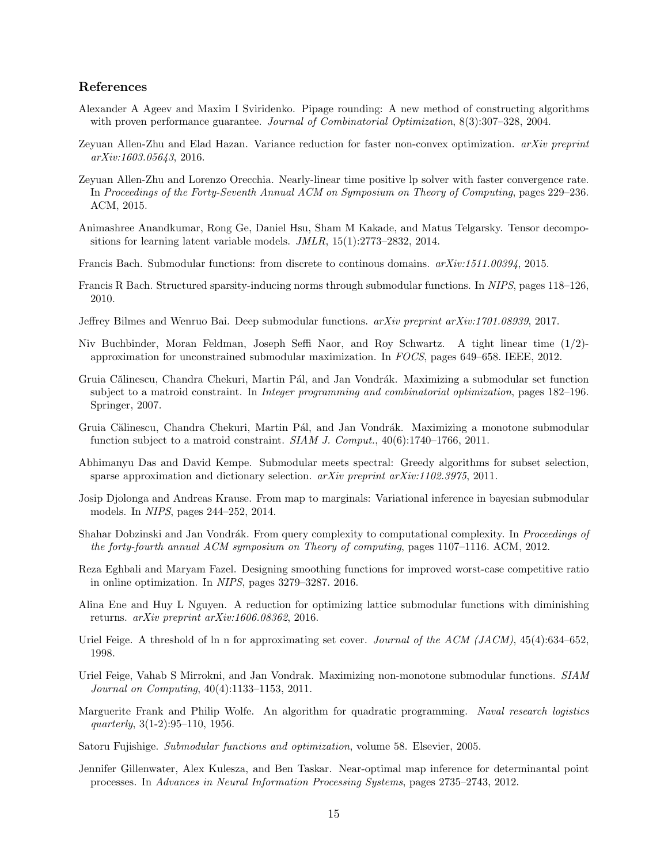#### References

- <span id="page-15-16"></span>Alexander A Ageev and Maxim I Sviridenko. Pipage rounding: A new method of constructing algorithms with proven performance guarantee. Journal of Combinatorial Optimization, 8(3):307–328, 2004.
- <span id="page-15-10"></span>Zeyuan Allen-Zhu and Elad Hazan. Variance reduction for faster non-convex optimization. arXiv preprint arXiv:1603.05643, 2016.
- <span id="page-15-13"></span>Zeyuan Allen-Zhu and Lorenzo Orecchia. Nearly-linear time positive lp solver with faster convergence rate. In Proceedings of the Forty-Seventh Annual ACM on Symposium on Theory of Computing, pages 229–236. ACM, 2015.
- <span id="page-15-0"></span>Animashree Anandkumar, Rong Ge, Daniel Hsu, Sham M Kakade, and Matus Telgarsky. Tensor decompositions for learning latent variable models. JMLR, 15(1):2773–2832, 2014.
- <span id="page-15-5"></span>Francis Bach. Submodular functions: from discrete to continous domains. arXiv:1511.00394, 2015.
- <span id="page-15-2"></span>Francis R Bach. Structured sparsity-inducing norms through submodular functions. In NIPS, pages 118–126, 2010.
- <span id="page-15-12"></span>Jeffrey Bilmes and Wenruo Bai. Deep submodular functions. arXiv preprint arXiv:1701.08939, 2017.
- <span id="page-15-7"></span>Niv Buchbinder, Moran Feldman, Joseph Seffi Naor, and Roy Schwartz. A tight linear time (1/2) approximation for unconstrained submodular maximization. In FOCS, pages 649–658. IEEE, 2012.
- <span id="page-15-8"></span>Gruia Călinescu, Chandra Chekuri, Martin Pál, and Jan Vondrák. Maximizing a submodular set function subject to a matroid constraint. In Integer programming and combinatorial optimization, pages 182–196. Springer, 2007.
- <span id="page-15-15"></span>Gruia Călinescu, Chandra Chekuri, Martin Pál, and Jan Vondrák. Maximizing a monotone submodular function subject to a matroid constraint. SIAM J. Comput., 40(6):1740–1766, 2011.
- <span id="page-15-1"></span>Abhimanyu Das and David Kempe. Submodular meets spectral: Greedy algorithms for subset selection, sparse approximation and dictionary selection. *arXiv preprint arXiv:1102.3975*, 2011.
- <span id="page-15-3"></span>Josip Djolonga and Andreas Krause. From map to marginals: Variational inference in bayesian submodular models. In NIPS, pages 244–252, 2014.
- <span id="page-15-19"></span>Shahar Dobzinski and Jan Vondrák. From query complexity to computational complexity. In *Proceedings of* the forty-fourth annual ACM symposium on Theory of computing, pages 1107–1116. ACM, 2012.
- <span id="page-15-11"></span>Reza Eghbali and Maryam Fazel. Designing smoothing functions for improved worst-case competitive ratio in online optimization. In NIPS, pages 3279–3287. 2016.
- <span id="page-15-9"></span>Alina Ene and Huy L Nguyen. A reduction for optimizing lattice submodular functions with diminishing returns. arXiv preprint arXiv:1606.08362, 2016.
- <span id="page-15-17"></span>Uriel Feige. A threshold of ln n for approximating set cover. Journal of the ACM (JACM), 45(4):634–652, 1998.
- <span id="page-15-18"></span>Uriel Feige, Vahab S Mirrokni, and Jan Vondrak. Maximizing non-monotone submodular functions. SIAM Journal on Computing, 40(4):1133–1153, 2011.
- <span id="page-15-6"></span>Marguerite Frank and Philip Wolfe. An algorithm for quadratic programming. Naval research logistics quarterly, 3(1-2):95–110, 1956.
- <span id="page-15-4"></span>Satoru Fujishige. Submodular functions and optimization, volume 58. Elsevier, 2005.
- <span id="page-15-14"></span>Jennifer Gillenwater, Alex Kulesza, and Ben Taskar. Near-optimal map inference for determinantal point processes. In Advances in Neural Information Processing Systems, pages 2735–2743, 2012.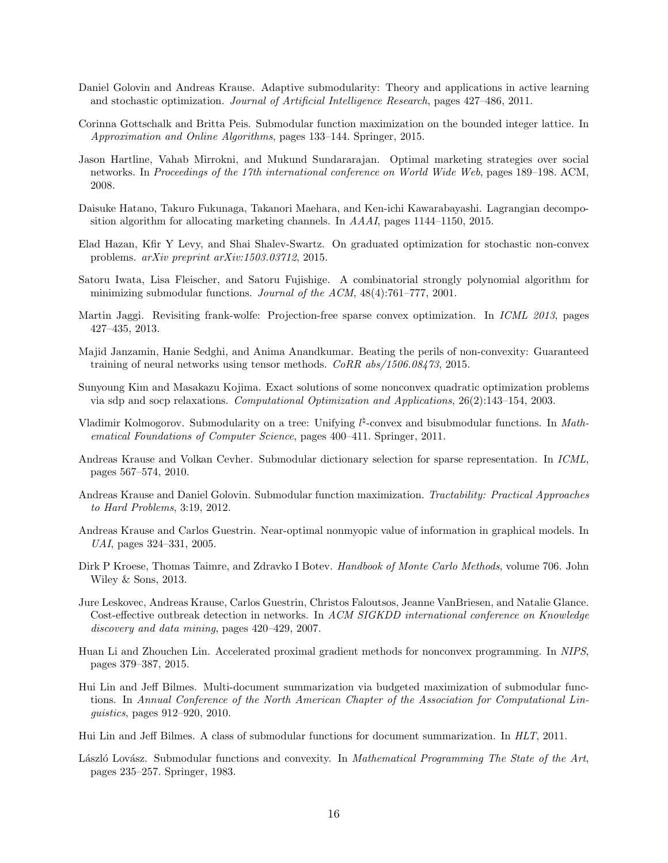- <span id="page-16-5"></span>Daniel Golovin and Andreas Krause. Adaptive submodularity: Theory and applications in active learning and stochastic optimization. Journal of Artificial Intelligence Research, pages 427–486, 2011.
- <span id="page-16-7"></span>Corinna Gottschalk and Britta Peis. Submodular function maximization on the bounded integer lattice. In Approximation and Online Algorithms, pages 133–144. Springer, 2015.
- <span id="page-16-15"></span>Jason Hartline, Vahab Mirrokni, and Mukund Sundararajan. Optimal marketing strategies over social networks. In Proceedings of the 17th international conference on World Wide Web, pages 189–198. ACM, 2008.
- <span id="page-16-14"></span>Daisuke Hatano, Takuro Fukunaga, Takanori Maehara, and Ken-ichi Kawarabayashi. Lagrangian decomposition algorithm for allocating marketing channels. In AAAI, pages 1144–1150, 2015.
- <span id="page-16-10"></span>Elad Hazan, Kfir Y Levy, and Shai Shalev-Swartz. On graduated optimization for stochastic non-convex problems. arXiv preprint arXiv:1503.03712, 2015.
- <span id="page-16-3"></span>Satoru Iwata, Lisa Fleischer, and Satoru Fujishige. A combinatorial strongly polynomial algorithm for minimizing submodular functions. Journal of the ACM, 48(4):761–777, 2001.
- <span id="page-16-11"></span>Martin Jaggi. Revisiting frank-wolfe: Projection-free sparse convex optimization. In ICML 2013, pages 427–435, 2013.
- <span id="page-16-8"></span>Majid Janzamin, Hanie Sedghi, and Anima Anandkumar. Beating the perils of non-convexity: Guaranteed training of neural networks using tensor methods. CoRR abs/1506.08473, 2015.
- <span id="page-16-13"></span>Sunyoung Kim and Masakazu Kojima. Exact solutions of some nonconvex quadratic optimization problems via sdp and socp relaxations. Computational Optimization and Applications, 26(2):143–154, 2003.
- <span id="page-16-6"></span>Vladimir Kolmogorov. Submodularity on a tree: Unifying  $l^{\sharp}$ -convex and bisubmodular functions. In *Math*ematical Foundations of Computer Science, pages 400–411. Springer, 2011.
- <span id="page-16-1"></span>Andreas Krause and Volkan Cevher. Submodular dictionary selection for sparse representation. In ICML, pages 567–574, 2010.
- <span id="page-16-4"></span>Andreas Krause and Daniel Golovin. Submodular function maximization. Tractability: Practical Approaches to Hard Problems, 3:19, 2012.
- <span id="page-16-0"></span>Andreas Krause and Carlos Guestrin. Near-optimal nonmyopic value of information in graphical models. In UAI, pages 324–331, 2005.
- <span id="page-16-18"></span>Dirk P Kroese, Thomas Taimre, and Zdravko I Botev. Handbook of Monte Carlo Methods, volume 706. John Wiley & Sons, 2013.
- <span id="page-16-16"></span>Jure Leskovec, Andreas Krause, Carlos Guestrin, Christos Faloutsos, Jeanne VanBriesen, and Natalie Glance. Cost-effective outbreak detection in networks. In ACM SIGKDD international conference on Knowledge discovery and data mining, pages 420–429, 2007.
- <span id="page-16-9"></span>Huan Li and Zhouchen Lin. Accelerated proximal gradient methods for nonconvex programming. In NIPS, pages 379–387, 2015.
- <span id="page-16-17"></span>Hui Lin and Jeff Bilmes. Multi-document summarization via budgeted maximization of submodular functions. In Annual Conference of the North American Chapter of the Association for Computational Linguistics, pages 912–920, 2010.
- <span id="page-16-2"></span>Hui Lin and Jeff Bilmes. A class of submodular functions for document summarization. In HLT, 2011.
- <span id="page-16-12"></span>László Lovász. Submodular functions and convexity. In Mathematical Programming The State of the Art, pages 235–257. Springer, 1983.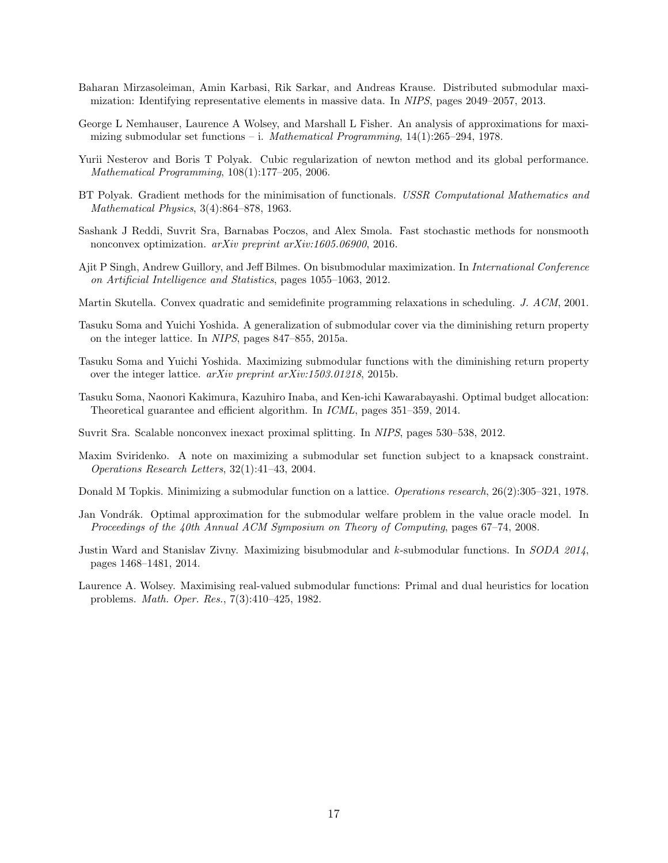- <span id="page-17-0"></span>Baharan Mirzasoleiman, Amin Karbasi, Rik Sarkar, and Andreas Krause. Distributed submodular maximization: Identifying representative elements in massive data. In NIPS, pages 2049–2057, 2013.
- <span id="page-17-1"></span>George L Nemhauser, Laurence A Wolsey, and Marshall L Fisher. An analysis of approximations for maximizing submodular set functions – i. Mathematical Programming,  $14(1):265-294$ , 1978.
- <span id="page-17-10"></span>Yurii Nesterov and Boris T Polyak. Cubic regularization of newton method and its global performance. Mathematical Programming, 108(1):177–205, 2006.
- <span id="page-17-11"></span>BT Polyak. Gradient methods for the minimisation of functionals. USSR Computational Mathematics and Mathematical Physics, 3(4):864–878, 1963.
- <span id="page-17-9"></span>Sashank J Reddi, Suvrit Sra, Barnabas Poczos, and Alex Smola. Fast stochastic methods for nonsmooth nonconvex optimization. arXiv preprint arXiv:1605.06900, 2016.
- <span id="page-17-5"></span>Ajit P Singh, Andrew Guillory, and Jeff Bilmes. On bisubmodular maximization. In International Conference on Artificial Intelligence and Statistics, pages 1055–1063, 2012.
- <span id="page-17-15"></span>Martin Skutella. Convex quadratic and semidefinite programming relaxations in scheduling. J. ACM, 2001.
- <span id="page-17-13"></span>Tasuku Soma and Yuichi Yoshida. A generalization of submodular cover via the diminishing return property on the integer lattice. In NIPS, pages 847–855, 2015a.
- <span id="page-17-14"></span>Tasuku Soma and Yuichi Yoshida. Maximizing submodular functions with the diminishing return property over the integer lattice. arXiv preprint arXiv:1503.01218, 2015b.
- <span id="page-17-4"></span>Tasuku Soma, Naonori Kakimura, Kazuhiro Inaba, and Ken-ichi Kawarabayashi. Optimal budget allocation: Theoretical guarantee and efficient algorithm. In ICML, pages 351–359, 2014.
- <span id="page-17-8"></span>Suvrit Sra. Scalable nonconvex inexact proximal splitting. In NIPS, pages 530–538, 2012.
- <span id="page-17-3"></span>Maxim Sviridenko. A note on maximizing a submodular set function subject to a knapsack constraint. Operations Research Letters, 32(1):41–43, 2004.
- <span id="page-17-12"></span>Donald M Topkis. Minimizing a submodular function on a lattice. Operations research, 26(2):305–321, 1978.
- <span id="page-17-2"></span>Jan Vondrák. Optimal approximation for the submodular welfare problem in the value oracle model. In Proceedings of the 40th Annual ACM Symposium on Theory of Computing, pages 67–74, 2008.
- <span id="page-17-6"></span>Justin Ward and Stanislav Zivny. Maximizing bisubmodular and k-submodular functions. In SODA 2014, pages 1468–1481, 2014.
- <span id="page-17-7"></span>Laurence A. Wolsey. Maximising real-valued submodular functions: Primal and dual heuristics for location problems. Math. Oper. Res., 7(3):410–425, 1982.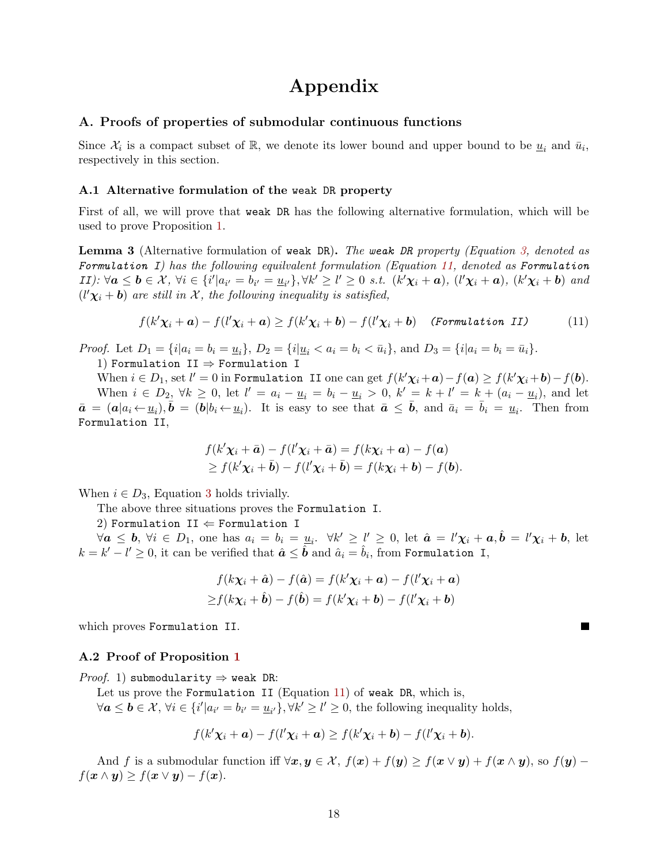## Appendix

#### <span id="page-18-0"></span>A. Proofs of properties of submodular continuous functions

Since  $\mathcal{X}_i$  is a compact subset of R, we denote its lower bound and upper bound to be  $\underline{u}_i$  and  $\overline{u}_i$ , respectively in this section.

#### A.1 Alternative formulation of the weak DR property

First of all, we will prove that weak DR has the following alternative formulation, which will be used to prove Proposition [1.](#page-5-1)

**Lemma 3** (Alternative formulation of weak DR). The weak DR property (Equation [3,](#page-4-4) denoted as Formulation I) has the following equilvalent formulation (Equation [11,](#page-18-1) denoted as Formulation II):  $\forall a \leq b \in \mathcal{X}$ ,  $\forall i \in \{i' | a_{i'} = b_{i'} = \underline{u}_{i'}\}, \forall k' \geq l' \geq 0$  s.t.  $(k'\chi_i + a)$ ,  $(l'\chi_i + a)$ ,  $(k'\chi_i + b)$  and  $(l'\chi_i + b)$  are still in X, the following inequality is satisfied,

<span id="page-18-1"></span>
$$
f(k'\chi_i + \mathbf{a}) - f(l'\chi_i + \mathbf{a}) \ge f(k'\chi_i + \mathbf{b}) - f(l'\chi_i + \mathbf{b}) \quad \text{(Formulation II)} \tag{11}
$$

*Proof.* Let  $D_1 = \{i | a_i = b_i = \underline{u}_i\}, D_2 = \{i | \underline{u}_i < a_i = b_i < \bar{u}_i\}, \text{ and } D_3 = \{i | a_i = b_i = \bar{u}_i\}.$ 1) Formulation II  $\Rightarrow$  Formulation I

When  $i \in D_1$ , set  $l' = 0$  in Formulation II one can get  $f(k'\chi_i + \boldsymbol{a}) - f(\boldsymbol{a}) \ge f(k'\chi_i + \boldsymbol{b}) - f(\boldsymbol{b})$ . When  $i \in D_2$ ,  $\forall k \ge 0$ , let  $l' = a_i - \underline{u}_i = b_i - \underline{u}_i > 0$ ,  $k' = k + l' = k + (a_i - \underline{u}_i)$ , and let  $\bar{a} = (a|a_i \leftarrow \underline{u}_i), \bar{b} = (b|b_i \leftarrow \underline{u}_i)$ . It is easy to see that  $\bar{a} \leq \bar{b}$ , and  $\bar{a}_i = \bar{b}_i = \underline{u}_i$ . Then from Formulation II,

$$
f(k'\chi_i + \bar{\mathbf{a}}) - f(l'\chi_i + \bar{\mathbf{a}}) = f(k\chi_i + \mathbf{a}) - f(\mathbf{a})
$$
  
\geq  $f(k'\chi_i + \bar{\mathbf{b}}) - f(l'\chi_i + \bar{\mathbf{b}}) = f(k\chi_i + \mathbf{b}) - f(\mathbf{b}).$ 

When  $i \in D_3$  $i \in D_3$ , Equation 3 holds trivially.

The above three situations proves the Formulation I.

2) Formulation II  $\Leftarrow$  Formulation I

 $\forall \boldsymbol{a} \leq \boldsymbol{b}, \forall i \in D_1$ , one has  $a_i = b_i = \underline{u}_i$ .  $\forall k' \geq l' \geq 0$ , let  $\hat{\boldsymbol{a}} = l' \boldsymbol{\chi}_i + \boldsymbol{a}, \hat{\boldsymbol{b}} = l' \boldsymbol{\chi}_i + \boldsymbol{b}$ , let  $k = k'-l' \geq 0,$  it can be verified that  $\hat{\boldsymbol{a}} \leq \hat{\boldsymbol{b}}$  and  $\hat{a}_i = \hat{b}_i$ , from Formulation I,

$$
f(k\chi_i + \hat{\mathbf{a}}) - f(\hat{\mathbf{a}}) = f(k'\chi_i + \mathbf{a}) - f(l'\chi_i + \mathbf{a})
$$
  
\n
$$
\geq f(k\chi_i + \hat{\mathbf{b}}) - f(\hat{\mathbf{b}}) = f(k'\chi_i + \mathbf{b}) - f(l'\chi_i + \mathbf{b})
$$

which proves Formulation II.

#### A.2 Proof of Proposition [1](#page-5-1)

*Proof.* 1) submodularity  $\Rightarrow$  weak DR:

Let us prove the Formulation II (Equation [11\)](#page-18-1) of weak DR, which is,  $\forall a \leq b \in \mathcal{X}, \forall i \in \{i' | a_{i'} = b_{i'} = \underline{u}_{i'}\}, \forall k' \geq l' \geq 0$ , the following inequality holds,

<span id="page-18-2"></span>
$$
f(k'\chi_i+a)-f(l'\chi_i+a)\geq f(k'\chi_i+b)-f(l'\chi_i+b).
$$

And f is a submodular function iff  $\forall x, y \in \mathcal{X}$ ,  $f(x) + f(y) \geq f(x \vee y) + f(x \wedge y)$ , so  $f(y)$  –  $f(\mathbf{x} \wedge \mathbf{y}) \geq f(\mathbf{x} \vee \mathbf{y}) - f(\mathbf{x}).$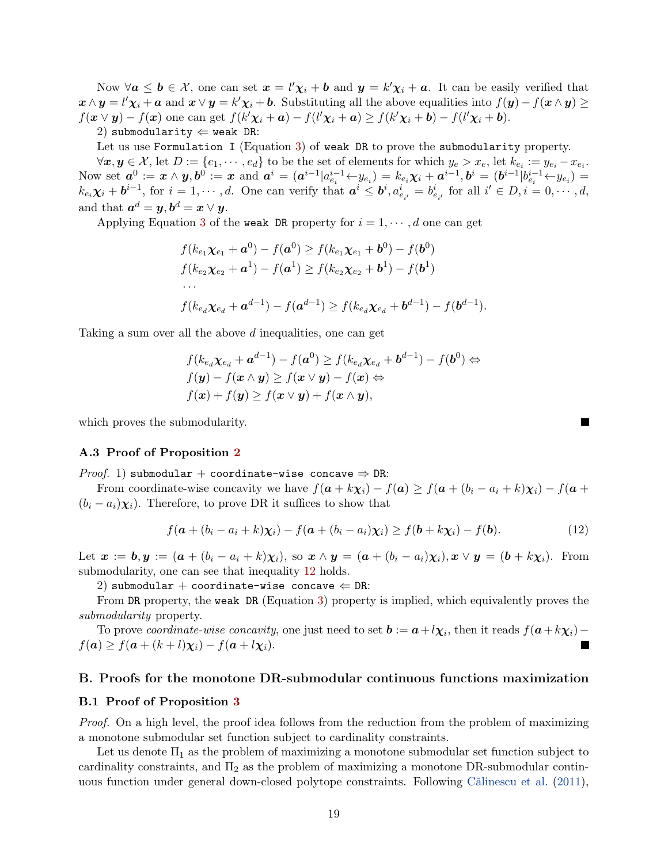Now  $\forall a \leq b \in \mathcal{X}$ , one can set  $x = l'\chi_i + b$  and  $y = k'\chi_i + a$ . It can be easily verified that  $\mathbf{x} \wedge \mathbf{y} = l' \chi_i + \mathbf{a}$  and  $\mathbf{x} \vee \mathbf{y} = k' \chi_i + \mathbf{b}$ . Substituting all the above equalities into  $f(\mathbf{y}) - f(\mathbf{x} \wedge \mathbf{y}) \ge$  $f(\mathbf{x} \vee \mathbf{y}) - f(\mathbf{x})$  one can get  $f(k'\chi_i + \mathbf{a}) - f(l'\chi_i + \mathbf{a}) \ge f(k'\chi_i + \mathbf{b}) - f(l'\chi_i + \mathbf{b}).$ 

2) submodularity  $\Leftarrow$  weak DR:

Let us use Formulation I (Equation [3\)](#page-4-4) of weak DR to prove the submodularity property.

 $\forall x, y \in \mathcal{X}, \text{let } D := \{e_1, \cdots, e_d\} \text{ to be the set of elements for which } y_e > x_e, \text{ let } k_{e_i} := y_{e_i} - x_{e_i}.$ Now set  $a^0 := x \wedge y$ ,  $b^0 := x$  and  $a^i = (a^{i-1}|a^{i-1}_{e_i} \leftarrow y_{e_i}) = k_{e_i} \chi_i + a^{i-1}$ ,  $b^i = (b^{i-1}|b^{i-1}_{e_i} \leftarrow y_{e_i}) =$  $k_{e_i}\chi_i + \boldsymbol{b}^{i-1}$ , for  $i = 1, \dots, d$ . One can verify that  $\boldsymbol{a}^i \leq \boldsymbol{b}^i, a^i_{e_{i'}} = b^i_{e_{i'}}$  for all  $i' \in D, i = 0, \dots, d$ , and that  $\boldsymbol{a}^d = \boldsymbol{y}, \boldsymbol{b}^d = \boldsymbol{x} \vee \boldsymbol{y}.$ 

Applying Equation [3](#page-4-4) of the weak DR property for  $i = 1, \dots, d$  one can get

$$
f(k_{e_1}\chi_{e_1} + \mathbf{a}^0) - f(\mathbf{a}^0) \ge f(k_{e_1}\chi_{e_1} + \mathbf{b}^0) - f(\mathbf{b}^0)
$$
  

$$
f(k_{e_2}\chi_{e_2} + \mathbf{a}^1) - f(\mathbf{a}^1) \ge f(k_{e_2}\chi_{e_2} + \mathbf{b}^1) - f(\mathbf{b}^1)
$$
  
...  

$$
f(k_{e_d}\chi_{e_d} + \mathbf{a}^{d-1}) - f(\mathbf{a}^{d-1}) \ge f(k_{e_d}\chi_{e_d} + \mathbf{b}^{d-1}) - f(\mathbf{b}^{d-1}).
$$

Taking a sum over all the above d inequalities, one can get

$$
f(k_{e_d}\chi_{e_d} + \mathbf{a}^{d-1}) - f(\mathbf{a}^0) \ge f(k_{e_d}\chi_{e_d} + \mathbf{b}^{d-1}) - f(\mathbf{b}^0) \Leftrightarrow f(\mathbf{y}) - f(\mathbf{x} \wedge \mathbf{y}) \ge f(\mathbf{x} \vee \mathbf{y}) - f(\mathbf{x}) \Leftrightarrow f(\mathbf{x}) + f(\mathbf{y}) \ge f(\mathbf{x} \vee \mathbf{y}) + f(\mathbf{x} \wedge \mathbf{y}),
$$

which proves the submodularity.

#### A.3 Proof of Proposition [2](#page-5-2)

*Proof.* 1) submodular + coordinate-wise concave  $\Rightarrow$  DR:

From coordinate-wise concavity we have  $f(a + k\chi_i) - f(a) \geq f(a + (b_i - a_i + k)\chi_i) - f(a + k\chi_i)$  $(b_i - a_i)\chi_i$ ). Therefore, to prove DR it suffices to show that

$$
f(\boldsymbol{a} + (b_i - a_i + k)\boldsymbol{\chi}_i) - f(\boldsymbol{a} + (b_i - a_i)\boldsymbol{\chi}_i) \ge f(\boldsymbol{b} + k\boldsymbol{\chi}_i) - f(\boldsymbol{b}). \tag{12}
$$

Let  $\mathbf{x} := \mathbf{b}, \mathbf{y} := (\mathbf{a} + (b_i - a_i + k)\chi_i)$ , so  $\mathbf{x} \wedge \mathbf{y} = (\mathbf{a} + (b_i - a_i)\chi_i)$ ,  $\mathbf{x} \vee \mathbf{y} = (\mathbf{b} + k\chi_i)$ . From submodularity, one can see that inequality [12](#page-18-2) holds.

2) submodular + coordinate-wise concave  $\Leftarrow$  DR:

From DR property, the weak DR (Equation [3\)](#page-4-4) property is implied, which equivalently proves the submodularity property.

To prove *coordinate-wise concavity*, one just need to set  $b := a + l\chi_i$ , then it reads  $f(a + k\chi_i)$  –  $f(\boldsymbol{a}) \geq f(\boldsymbol{a} + (k+l)\boldsymbol{\chi}_i) - f(\boldsymbol{a} + l\boldsymbol{\chi}_i).$ Г

#### B. Proofs for the monotone DR-submodular continuous functions maximization

#### B.1 Proof of Proposition [3](#page-6-4)

Proof. On a high level, the proof idea follows from the reduction from the problem of maximizing a monotone submodular set function subject to cardinality constraints.

Let us denote  $\Pi_1$  as the problem of maximizing a monotone submodular set function subject to cardinality constraints, and  $\Pi_2$  as the problem of maximizing a monotone DR-submodular contin-uous function under general down-closed polytope constraints. Following Călinescu et al. [\(2011\)](#page-15-15),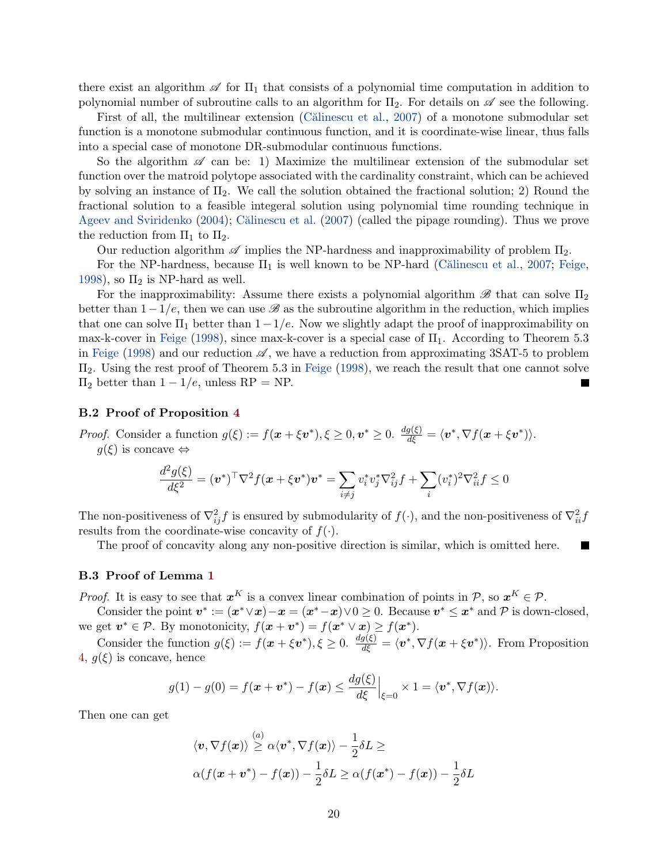there exist an algorithm  $\mathscr A$  for  $\Pi_1$  that consists of a polynomial time computation in addition to polynomial number of subroutine calls to an algorithm for  $\Pi_2$ . For details on  $\mathscr A$  see the following.

First of all, the multilinear extension (Calinescu et al., [2007\)](#page-15-8) of a monotone submodular set function is a monotone submodular continuous function, and it is coordinate-wise linear, thus falls into a special case of monotone DR-submodular continuous functions.

So the algorithm  $\mathscr A$  can be: 1) Maximize the multilinear extension of the submodular set function over the matroid polytope associated with the cardinality constraint, which can be achieved by solving an instance of  $\Pi_2$ . We call the solution obtained the fractional solution; 2) Round the fractional solution to a feasible integeral solution using polynomial time rounding technique in [Ageev and Sviridenko](#page-15-16)  $(2004)$ ; Călinescu et al.  $(2007)$  (called the pipage rounding). Thus we prove the reduction from  $\Pi_1$  to  $\Pi_2$ .

Our reduction algorithm  $\mathscr A$  implies the NP-hardness and inapproximability of problem  $\Pi_2$ .

For the NP-hardness, because  $\Pi_1$  is well known to be NP-hard (Călinescu et al., [2007;](#page-15-8) [Feige,](#page-15-17) [1998\)](#page-15-17), so  $\Pi_2$  is NP-hard as well.

For the inapproximability: Assume there exists a polynomial algorithm  $\mathscr{B}$  that can solve  $\Pi_2$ better than  $1-1/e$ , then we can use  $\mathscr B$  as the subroutine algorithm in the reduction, which implies that one can solve  $\Pi_1$  better than  $1-1/e$ . Now we slightly adapt the proof of inapproximability on max-k-cover in [Feige](#page-15-17) [\(1998\)](#page-15-17), since max-k-cover is a special case of  $\Pi_1$ . According to Theorem 5.3 in [Feige](#page-15-17) [\(1998\)](#page-15-17) and our reduction  $\mathscr A$ , we have a reduction from approximating 3SAT-5 to problem Π2. Using the rest proof of Theorem 5.3 in [Feige](#page-15-17) [\(1998\)](#page-15-17), we reach the result that one cannot solve  $\Pi_2$  better than  $1 - 1/e$ , unless RP = NP. Г

#### B.2 Proof of Proposition [4](#page-6-3)

*Proof.* Consider a function  $g(\xi) := f(x + \xi v^*), \xi \ge 0, v^* \ge 0$ .  $\frac{dg(\xi)}{d\xi} = \langle v^*, \nabla f(x + \xi v^*) \rangle$ .  $g(\xi)$  is concave  $\Leftrightarrow$ 

$$
\frac{d^2g(\xi)}{d\xi^2} = (\boldsymbol{v}^*)^{\top}\nabla^2 f(\boldsymbol{x} + \xi \boldsymbol{v}^*)\boldsymbol{v}^* = \sum_{i \neq j} v_i^* v_j^* \nabla_{ij}^2 f + \sum_i (v_i^*)^2 \nabla_{ii}^2 f \le 0
$$

The non-positiveness of  $\nabla^2_{ij} f$  is ensured by submodularity of  $f(\cdot)$ , and the non-positiveness of  $\nabla^2_{ii} f$ results from the coordinate-wise concavity of  $f(\cdot)$ .

The proof of concavity along any non-positive direction is similar, which is omitted here.

П

#### B.3 Proof of Lemma [1](#page-7-3)

*Proof.* It is easy to see that  $x^K$  is a convex linear combination of points in P, so  $x^K \in \mathcal{P}$ .

Consider the point  $v^* := (x^* \vee x) - x = (x^* - x) \vee 0 \ge 0$ . Because  $v^* \le x^*$  and P is down-closed, we get  $v^* \in \mathcal{P}$ . By monotonicity,  $f(x + v^*) = f(x^* \vee x) \ge f(x^*)$ .

Consider the function  $g(\xi) := f(x + \xi v^*), \xi \ge 0$ .  $\frac{dg(\xi)}{d\xi} = \langle v^*, \nabla f(x + \xi v^*) \rangle$ . From Proposition [4,](#page-6-3)  $q(\xi)$  is concave, hence

$$
g(1) - g(0) = f(\boldsymbol{x} + \boldsymbol{v}^*) - f(\boldsymbol{x}) \le \frac{dg(\xi)}{d\xi}\Big|_{\xi=0} \times 1 = \langle \boldsymbol{v}^*, \nabla f(\boldsymbol{x}) \rangle.
$$

Then one can get

$$
\langle \boldsymbol{v}, \nabla f(\boldsymbol{x}) \rangle \stackrel{(a)}{\geq} \alpha \langle \boldsymbol{v}^*, \nabla f(\boldsymbol{x}) \rangle - \frac{1}{2} \delta L \geq
$$
  
 
$$
\alpha (f(\boldsymbol{x} + \boldsymbol{v}^*) - f(\boldsymbol{x})) - \frac{1}{2} \delta L \geq \alpha (f(\boldsymbol{x}^*) - f(\boldsymbol{x})) - \frac{1}{2} \delta L
$$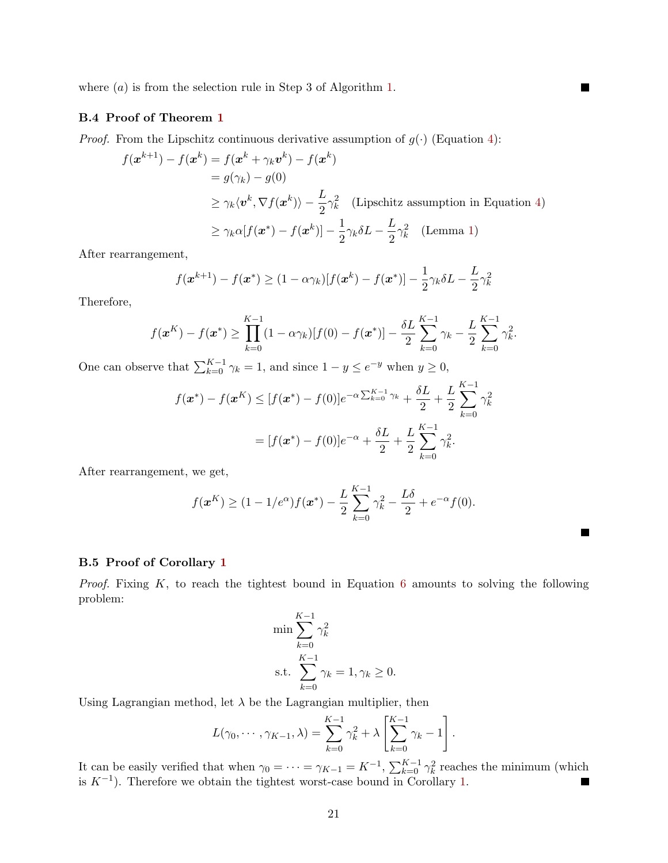where  $(a)$  is from the selection rule in Step 3 of Algorithm [1.](#page-6-0)

#### B.4 Proof of Theorem [1](#page-7-1)

*Proof.* From the Lipschitz continuous derivative assumption of  $g(\cdot)$  (Equation [4\)](#page-7-4):

$$
f(\mathbf{x}^{k+1}) - f(\mathbf{x}^k) = f(\mathbf{x}^k + \gamma_k \mathbf{v}^k) - f(\mathbf{x}^k)
$$
  
=  $g(\gamma_k) - g(0)$   
 $\ge \gamma_k \langle \mathbf{v}^k, \nabla f(\mathbf{x}^k) \rangle - \frac{L}{2} \gamma_k^2$  (Lipschitz assumption in Equation 4)  
 $\ge \gamma_k \alpha [f(\mathbf{x}^*) - f(\mathbf{x}^k)] - \frac{1}{2} \gamma_k \delta L - \frac{L}{2} \gamma_k^2$  (Lemma 1)

 $\blacksquare$ 

 $\blacksquare$ 

After rearrangement,

$$
f(\boldsymbol{x}^{k+1}) - f(\boldsymbol{x}^*) \ge (1 - \alpha \gamma_k)[f(\boldsymbol{x}^k) - f(\boldsymbol{x}^*)] - \frac{1}{2} \gamma_k \delta L - \frac{L}{2} \gamma_k^2
$$

Therefore,

$$
f(\boldsymbol{x}^{K}) - f(\boldsymbol{x}^{*}) \geq \prod_{k=0}^{K-1} (1 - \alpha \gamma_{k}) [f(0) - f(\boldsymbol{x}^{*})] - \frac{\delta L}{2} \sum_{k=0}^{K-1} \gamma_{k} - \frac{L}{2} \sum_{k=0}^{K-1} \gamma_{k}^{2}.
$$

One can observe that  $\sum_{k=0}^{K-1} \gamma_k = 1$ , and since  $1 - y \le e^{-y}$  when  $y \ge 0$ ,

$$
f(\mathbf{x}^*) - f(\mathbf{x}^K) \le [f(\mathbf{x}^*) - f(0)]e^{-\alpha \sum_{k=0}^{K-1} \gamma_k} + \frac{\delta L}{2} + \frac{L}{2} \sum_{k=0}^{K-1} \gamma_k^2
$$
  
=  $[f(\mathbf{x}^*) - f(0)]e^{-\alpha} + \frac{\delta L}{2} + \frac{L}{2} \sum_{k=0}^{K-1} \gamma_k^2$ .

After rearrangement, we get,

$$
f(\mathbf{x}^{K}) \ge (1 - 1/e^{\alpha})f(\mathbf{x}^{*}) - \frac{L}{2}\sum_{k=0}^{K-1} \gamma_{k}^{2} - \frac{L\delta}{2} + e^{-\alpha}f(0).
$$

#### <span id="page-21-0"></span>B.5 Proof of Corollary [1](#page-7-2)

*Proof.* Fixing  $K$ , to reach the tightest bound in Equation [6](#page-7-5) amounts to solving the following problem:

$$
\min \sum_{k=0}^{K-1} \gamma_k^2
$$
  
s.t. 
$$
\sum_{k=0}^{K-1} \gamma_k = 1, \gamma_k \ge 0.
$$

Using Lagrangian method, let  $\lambda$  be the Lagrangian multiplier, then

$$
L(\gamma_0, \cdots, \gamma_{K-1}, \lambda) = \sum_{k=0}^{K-1} \gamma_k^2 + \lambda \left[ \sum_{k=0}^{K-1} \gamma_k - 1 \right].
$$

It can be easily verified that when  $\gamma_0 = \cdots = \gamma_{K-1} = K^{-1}$ ,  $\sum_{k=0}^{K-1} \gamma_k^2$  reaches the minimum (which is  $K^{-1}$ ). Therefore we obtain the tightest worst-case bound in Corollary [1.](#page-7-2)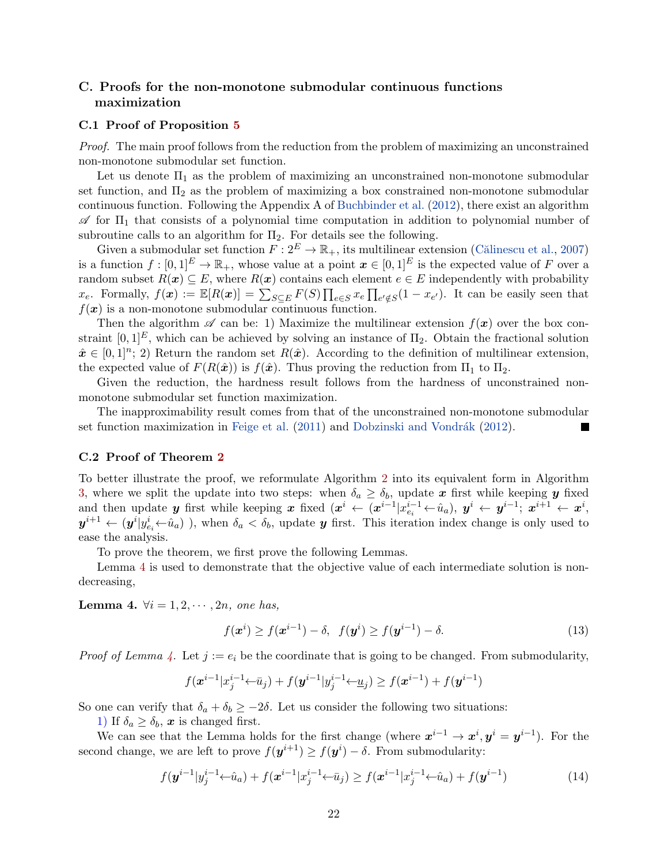### C. Proofs for the non-monotone submodular continuous functions maximization

#### C.1 Proof of Proposition [5](#page-7-6)

Proof. The main proof follows from the reduction from the problem of maximizing an unconstrained non-monotone submodular set function.

Let us denote  $\Pi_1$  as the problem of maximizing an unconstrained non-monotone submodular set function, and  $\Pi_2$  as the problem of maximizing a box constrained non-monotone submodular continuous function. Following the Appendix A of [Buchbinder et al.](#page-15-7) [\(2012\)](#page-15-7), there exist an algorithm  $\mathscr A$  for  $\Pi_1$  that consists of a polynomial time computation in addition to polynomial number of subroutine calls to an algorithm for  $\Pi_2$ . For details see the following.

Given a submodular set function  $F: 2^E \to \mathbb{R}_+$ , its multilinear extension (Călinescu et al., [2007\)](#page-15-8) is a function  $f : [0,1]^E \to \mathbb{R}_+$ , whose value at a point  $\boldsymbol{x} \in [0,1]^E$  is the expected value of F over a random subset  $R(x) \subseteq E$ , where  $R(x)$  contains each element  $e \in E$  independently with probability  $x_e$ . Formally,  $f(\mathbf{x}) := \mathbb{E}[R(\mathbf{x})] = \sum_{S \subseteq E} F(S) \prod_{e \in S} x_e \prod_{e' \notin S} (1 - x_{e'})$ . It can be easily seen that  $f(x)$  is a non-monotone submodular continuous function.

Then the algorithm  $\mathscr A$  can be: 1) Maximize the multilinear extension  $f(\mathbf{x})$  over the box constraint  $[0, 1]^E$ , which can be achieved by solving an instance of  $\Pi_2$ . Obtain the fractional solution  $\hat{x} \in [0,1]^n$ ; 2) Return the random set  $R(\hat{x})$ . According to the definition of multilinear extension, the expected value of  $F(R(\hat{x}))$  is  $f(\hat{x})$ . Thus proving the reduction from  $\Pi_1$  to  $\Pi_2$ .

Given the reduction, the hardness result follows from the hardness of unconstrained nonmonotone submodular set function maximization.

The inapproximability result comes from that of the unconstrained non-monotone submodular set function maximization in [Feige et al.](#page-15-18)  $(2011)$  and Dobzinski and Vondrák  $(2012)$ .

#### C.2 Proof of Theorem [2](#page-8-5)

To better illustrate the proof, we reformulate Algorithm [2](#page-8-2) into its equivalent form in Algorithm [3,](#page-23-0) where we split the update into two steps: when  $\delta_a \geq \delta_b$ , update x first while keeping y fixed and then update y first while keeping x fixed  $(x^i \leftarrow (x^{i-1} | x_{e_i}^{i-1} \leftarrow \hat{u}_a), y^i \leftarrow y^{i-1}; x^{i+1} \leftarrow x^i$  $y^{i+1} \leftarrow (y^i | y_{e_i}^i \leftarrow \hat{u}_a)$ , when  $\delta_a < \delta_b$ , update y first. This iteration index change is only used to ease the analysis.

To prove the theorem, we first prove the following Lemmas.

Lemma [4](#page-22-0) is used to demonstrate that the objective value of each intermediate solution is nondecreasing,

<span id="page-22-0"></span>Lemma 4.  $\forall i = 1, 2, \cdots, 2n$ , one has,

$$
f(\boldsymbol{x}^i) \ge f(\boldsymbol{x}^{i-1}) - \delta, \ \ f(\boldsymbol{y}^i) \ge f(\boldsymbol{y}^{i-1}) - \delta. \tag{13}
$$

*Proof of Lemma [4.](#page-22-0)* Let  $j := e_i$  be the coordinate that is going to be changed. From submodularity,

$$
f(\mathbf{\boldsymbol{\boldsymbol{x}}}^{i-1}|\boldsymbol{\boldsymbol{x}}_j^{i-1}\hspace{-2pt}\leftarrow\hspace{-2pt}\overline{\boldsymbol{\boldsymbol{u}}}_j)+f(\mathbf{\boldsymbol{\boldsymbol{y}}}^{i-1}|\boldsymbol{\boldsymbol{y}}_j^{i-1}\hspace{-2pt}\leftarrow\hspace{-2pt}\underline{\boldsymbol{u}}_j)\geq f(\mathbf{\boldsymbol{\boldsymbol{x}}}^{i-1})+f(\mathbf{\boldsymbol{\boldsymbol{y}}}^{i-1})
$$

So one can verify that  $\delta_a + \delta_b \geq -2\delta$ . Let us consider the following two situations:

1) If  $\delta_a \geq \delta_b$ , x is changed first.

We can see that the Lemma holds for the first change (where  $x^{i-1} \to x^i, y^i = y^{i-1}$ ). For the second change, we are left to prove  $f(\mathbf{y}^{i+1}) \geq f(\mathbf{y}^i) - \delta$ . From submodularity:

$$
f(\mathbf{y}^{i-1} | y_j^{i-1} \leftarrow \hat{u}_a) + f(\mathbf{x}^{i-1} | x_j^{i-1} \leftarrow \bar{u}_j) \ge f(\mathbf{x}^{i-1} | x_j^{i-1} \leftarrow \hat{u}_a) + f(\mathbf{y}^{i-1})
$$
(14)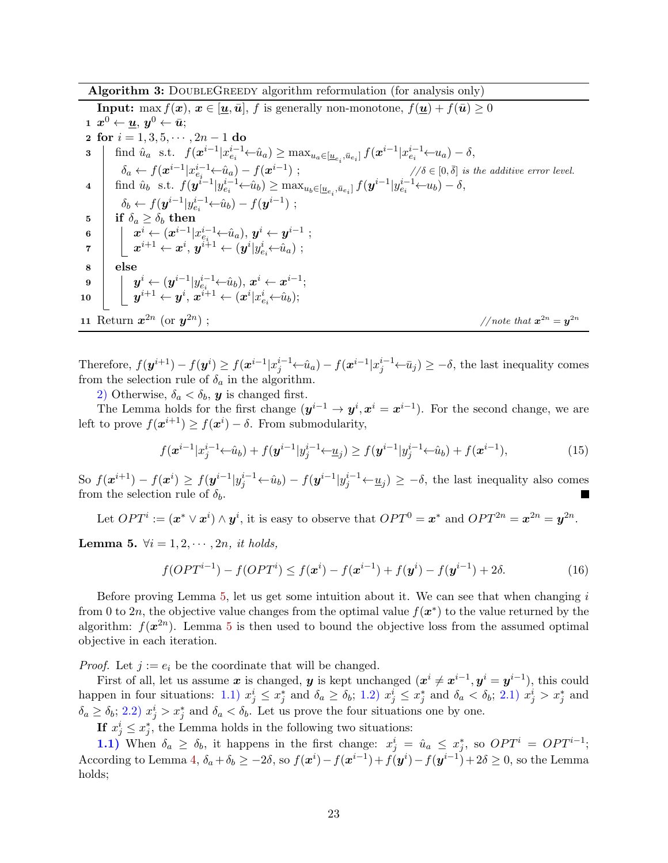Algorithm 3: DOUBLEGREEDY algorithm reformulation (for analysis only)

<span id="page-23-0"></span>**Input:** max  $f(x), x \in [\underline{u}, \bar{u}], f$  is generally non-monotone,  $f(\underline{u}) + f(\bar{u}) \geq 0$  $\mathbf{1} \ \ \pmb{x}^0 \leftarrow \pmb{u},\ \pmb{y}^0 \leftarrow \bar{\pmb{u}};$ 2 for  $i = 1, 3, 5, \cdots, 2n - 1$  do 3  $\left| \text{ find } \hat{u}_a \text{ s.t. } f(\mathbf{x}^{i-1} | x_{e_i}^{i-1} \leftarrow \hat{u}_a) \ge \max_{u_a \in [\underline{u}_{e_i}, \bar{u}_{e_i}]} f(\mathbf{x}^{i-1} | x_{e_i}^{i-1} \leftarrow u_a) - \delta, \right.$  $\delta_a \leftarrow f(\boldsymbol{x}^{i-1} | x_{e_i}^{i-1} \leftarrow \hat{u}_a) - f(\boldsymbol{x}^{i-1})$ ;  $\text{and } \text{where } \text{where } a_i \in \{0, \bar{\delta} \} \text{ is the additive error level.}$ 4 find  $\hat{u}_b$  s.t.  $f(\mathbf{y}^{i-1} | y_{e_i}^{i-1} \leftarrow \hat{u}_b) \ge \max_{u_b \in [\underline{u}_{e_i}, \bar{u}_{e_i}]} f(\mathbf{y}^{i-1} | y_{e_i}^{i-1} \leftarrow u_b) - \delta,$  $\delta_b \leftarrow f(\bm{y}^{i-1} | y^{i-1}_{e_i} \leftarrow \hat{u}_b) - f(\bm{y}^{i-1})$ ; 5 if  $\delta_a \geq \delta_b$  then  $\pmb{\hspace{1cm} 6} \quad \Big\vert \quad \pmb{x}^i \leftarrow (\pmb{x}^{i-1}|x^{i-1}_{e_i} {\leftarrow} \hat{u}_a), \, \pmb{y}^i \leftarrow \pmb{y}^{i-1} \; ;$  $\begin{array}{lcl} \pi & \left| \quad \right| \quad \ \ x^{i+1} \leftarrow x^{i}, \, y^{i+1} \leftarrow (y^{i} | y^{i}_{e_{i}} \!\!\leftarrow\!\! \hat{u}_{a}) \; ; \end{array}$ 8 else  $\quad \ \ \, {\bf 9} \quad \ \ \, \bigg| \quad \ \, {\bf y}^i \leftarrow ({\bm y}^{i-1} | y^{i-1}_{e_i} \!\!\leftarrow\!\! \hat{u}_b), \, {\bm x}^i \leftarrow {\bm x}^{i-1};$  $\mathbf{10} \quad \bigg| \quad \bigg\downarrow \ \ \bm{y}^{i+1} \leftarrow \bm{y}^{i}, \ \bm{x}^{i+1} \leftarrow (\bm{x}^{i}|x_{e_i}^{i} \!\leftarrow\!\hat{u}_b);$ 11 Return  $x^{2n}$  (or  $y^{2n}$ );  $\qquad \qquad \qquad // note that \ \mathbf{x}^{2n} = \mathbf{y}^{2n}$ 

Therefore,  $f(\mathbf{y}^{i+1}) - f(\mathbf{y}^i) \ge f(\mathbf{x}^{i-1} | x_j^{i-1} \leftarrow \hat{u}_a) - f(\mathbf{x}^{i-1} | x_j^{i-1} \leftarrow \bar{u}_j) \ge -\delta$ , the last inequality comes from the selection rule of  $\delta_a$  in the algorithm.

2) Otherwise,  $\delta_a < \delta_b$ , y is changed first.

The Lemma holds for the first change  $(y^{i-1} \to y^i, x^i = x^{i-1})$ . For the second change, we are left to prove  $f(\boldsymbol{x}^{i+1}) \geq f(\boldsymbol{x}^{i}) - \delta$ . From submodularity,

$$
f(\mathbf{x}^{i-1} | x_j^{i-1} \leftarrow \hat{u}_b) + f(\mathbf{y}^{i-1} | y_j^{i-1} \leftarrow \underline{u}_j) \ge f(\mathbf{y}^{i-1} | y_j^{i-1} \leftarrow \hat{u}_b) + f(\mathbf{x}^{i-1}),
$$
\n(15)

So  $f(x^{i+1}) - f(x^i) \ge f(y^{i-1}|y_j^{i-1} \leftarrow \hat{u}_b) - f(y^{i-1}|y_j^{i-1} \leftarrow \underline{u}_j) \ge -\delta$ , the last inequality also comes from the selection rule of  $\delta_b$ .

Let  $OPT^i := (\mathbf{x}^* \vee \mathbf{x}^i) \wedge \mathbf{y}^i$ , it is easy to observe that  $OPT^0 = \mathbf{x}^*$  and  $OPT^{2n} = \mathbf{x}^{2n} = \mathbf{y}^{2n}$ .

<span id="page-23-1"></span>Lemma 5.  $\forall i = 1, 2, \cdots, 2n$ , it holds,

$$
f(OPT^{i-1}) - f(OPT^{i}) \le f(\mathbf{x}^{i}) - f(\mathbf{x}^{i-1}) + f(\mathbf{y}^{i}) - f(\mathbf{y}^{i-1}) + 2\delta.
$$
 (16)

Before proving Lemma  $5$ , let us get some intuition about it. We can see that when changing  $i$ from 0 to 2n, the objective value changes from the optimal value  $f(\boldsymbol{x}^*)$  to the value returned by the algorithm:  $f(x^{2n})$ . Lemma [5](#page-23-1) is then used to bound the objective loss from the assumed optimal objective in each iteration.

*Proof.* Let  $j := e_i$  be the coordinate that will be changed.

First of all, let us assume x is changed, y is kept unchanged  $(x^{i} \neq x^{i-1}, y^{i} = y^{i-1})$ , this could happen in four situations: 1.1)  $x_j^i \leq x_j^*$  and  $\delta_a \geq \delta_b$ ; 1.2)  $x_j^i \leq x_j^*$  and  $\delta_a < \delta_b$ ; 2.1)  $x_j^i > x_j^*$  and  $\delta_a \geq \delta_b$ ; 2.2)  $x_j^i > x_j^*$  and  $\delta_a < \delta_b$ . Let us prove the four situations one by one.

If  $x_j^i \leq x_j^*$ , the Lemma holds in the following two situations:

**1.1)** When  $\delta_a \geq \delta_b$ , it happens in the first change:  $x_j^i = \hat{u}_a \leq x_j^*$ , so  $OPT^i = OPT^{i-1}$ ; According to Lemma [4,](#page-22-0)  $\delta_a + \delta_b \ge -2\delta$ , so  $f(x^i) - f(x^{i-1}) + f(y^i) - f(y^{i-1}) + 2\delta \ge 0$ , so the Lemma holds;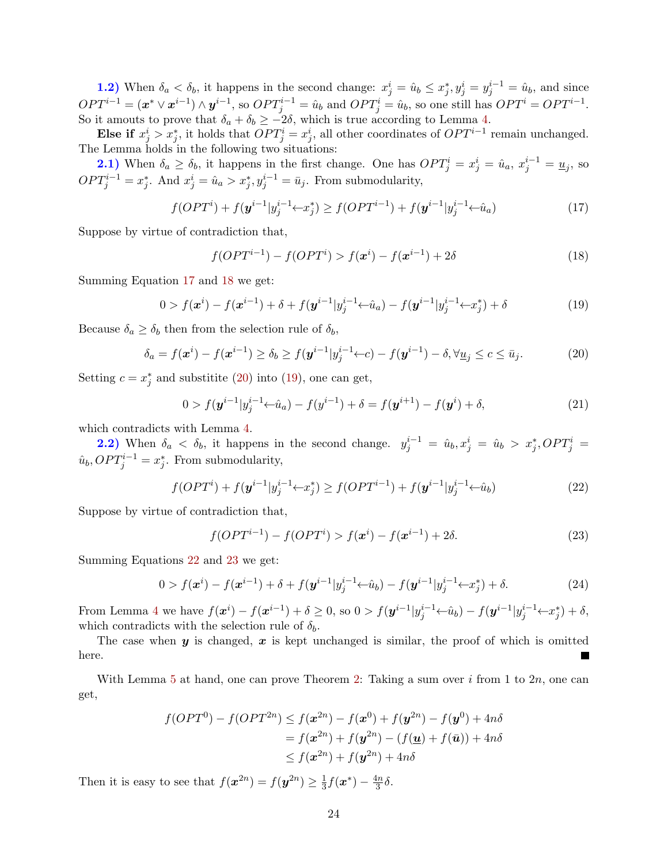1.2) When  $\delta_a < \delta_b$ , it happens in the second change:  $x_j^i = \hat{u}_b \leq x_j^*, y_j^i = y_j^{i-1} = \hat{u}_b$ , and since  $OPT^{i-1} = (\boldsymbol{x}^* \vee \boldsymbol{x}^{i-1}) \wedge \boldsymbol{y}^{i-1}$ , so  $OPT_j^{i-1} = \hat{u}_b$  and  $OPT_j^i = \hat{u}_b$ , so one still has  $OPT^i = OPT^{i-1}$ . So it amouts to prove that  $\delta_a + \delta_b \ge -2\delta$ , which is true according to Lemma [4.](#page-22-0)

Else if  $x_j^i > x_j^*$ , it holds that  $OPT_j^i = x_j^i$ , all other coordinates of  $OPT^{i-1}$  remain unchanged. The Lemma holds in the following two situations:

**2.1)** When  $\delta_a \ge \delta_b$ , it happens in the first change. One has  $OPT^i_j = x^i_j = \hat{u}_a, x^{i-1}_j = \underline{u}_j$ , so  $OPT_j^{i-1} = x_j^*$ . And  $x_j^i = \hat{u}_a > x_j^*, y_j^{i-1} = \bar{u}_j$ . From submodularity,

$$
f(OPTi) + f(\mathbf{y}^{i-1} | y_j^{i-1} \leftarrow x_j^*) \ge f(OPT^{i-1}) + f(\mathbf{y}^{i-1} | y_j^{i-1} \leftarrow \hat{u}_a)
$$
\n(17)

Suppose by virtue of contradiction that,

<span id="page-24-3"></span><span id="page-24-2"></span><span id="page-24-1"></span><span id="page-24-0"></span>
$$
f(OPT^{i-1}) - f(OPT^{i}) > f(\mathbf{x}^{i}) - f(\mathbf{x}^{i-1}) + 2\delta \tag{18}
$$

Summing Equation [17](#page-24-0) and [18](#page-24-1) we get:

$$
0 > f(\mathbf{x}^{i}) - f(\mathbf{x}^{i-1}) + \delta + f(\mathbf{y}^{i-1} | y_j^{i-1} \leftarrow \hat{u}_a) - f(\mathbf{y}^{i-1} | y_j^{i-1} \leftarrow x_j^{*}) + \delta
$$
\n(19)

Because  $\delta_a \geq \delta_b$  then from the selection rule of  $\delta_b$ ,

$$
\delta_a = f(\boldsymbol{x}^i) - f(\boldsymbol{x}^{i-1}) \ge \delta_b \ge f(\boldsymbol{y}^{i-1} | y_j^{i-1} \leftarrow c) - f(\boldsymbol{y}^{i-1}) - \delta, \forall \underline{u}_j \le c \le \bar{u}_j. \tag{20}
$$

Setting  $c = x_j^*$  and substitite [\(20\)](#page-24-2) into [\(19\)](#page-24-3), one can get,

$$
0 > f(\mathbf{y}^{i-1} | y_j^{i-1} \leftarrow \hat{u}_a) - f(y^{i-1}) + \delta = f(\mathbf{y}^{i+1}) - f(\mathbf{y}^i) + \delta,
$$
\n(21)

which contradicts with Lemma [4.](#page-22-0)

**2.2)** When  $\delta_a < \delta_b$ , it happens in the second change.  $y_j^{i-1} = \hat{u}_b, x_j^i = \hat{u}_b > x_j^*$ ,  $OPT_j^i =$  $\hat{u}_b, OPT_j^{i-1} = x_j^*$ . From submodularity,

$$
f(OPTi) + f(\mathbf{y}^{i-1} | y_j^{i-1} \leftarrow x_j^*) \ge f(OPT^{i-1}) + f(\mathbf{y}^{i-1} | y_j^{i-1} \leftarrow \hat{u}_b)
$$
\n(22)

Suppose by virtue of contradiction that,

<span id="page-24-5"></span><span id="page-24-4"></span>
$$
f(OPT^{i-1}) - f(OPT^{i}) > f(\mathbf{x}^{i}) - f(\mathbf{x}^{i-1}) + 2\delta. \tag{23}
$$

Summing Equations [22](#page-24-4) and [23](#page-24-5) we get:

$$
0 > f(\mathbf{x}^{i}) - f(\mathbf{x}^{i-1}) + \delta + f(\mathbf{y}^{i-1} | y_j^{i-1} \leftarrow \hat{u}_b) - f(\mathbf{y}^{i-1} | y_j^{i-1} \leftarrow x_j^{*}) + \delta.
$$
 (24)

From Lemma [4](#page-22-0) we have  $f(x^{i}) - f(x^{i-1}) + \delta \ge 0$ , so  $0 > f(y^{i-1}|y_j^{i-1} \leftarrow \hat{u}_b) - f(y^{i-1}|y_j^{i-1} \leftarrow x_j^*) + \delta$ , which contradicts with the selection rule of  $\delta_b$ .

The case when  $y$  is changed,  $x$  is kept unchanged is similar, the proof of which is omitted here.

With Lemma [5](#page-23-1) at hand, one can prove Theorem [2:](#page-8-5) Taking a sum over i from 1 to  $2n$ , one can get,

$$
f(OPT0) - f(OPT2n) \le f(\mathbf{x}^{2n}) - f(\mathbf{x}^{0}) + f(\mathbf{y}^{2n}) - f(\mathbf{y}^{0}) + 4n\delta
$$
  
= f(\mathbf{x}^{2n}) + f(\mathbf{y}^{2n}) - (f(\underline{\mathbf{u}}) + f(\overline{\mathbf{u}})) + 4n\delta  

$$
\le f(\mathbf{x}^{2n}) + f(\mathbf{y}^{2n}) + 4n\delta
$$

Then it is easy to see that  $f(x^{2n}) = f(y^{2n}) \geq \frac{1}{3}$  $\frac{1}{3}f(\boldsymbol{x}^*) - \frac{4n}{3}$  $rac{\ln n}{3}$ δ.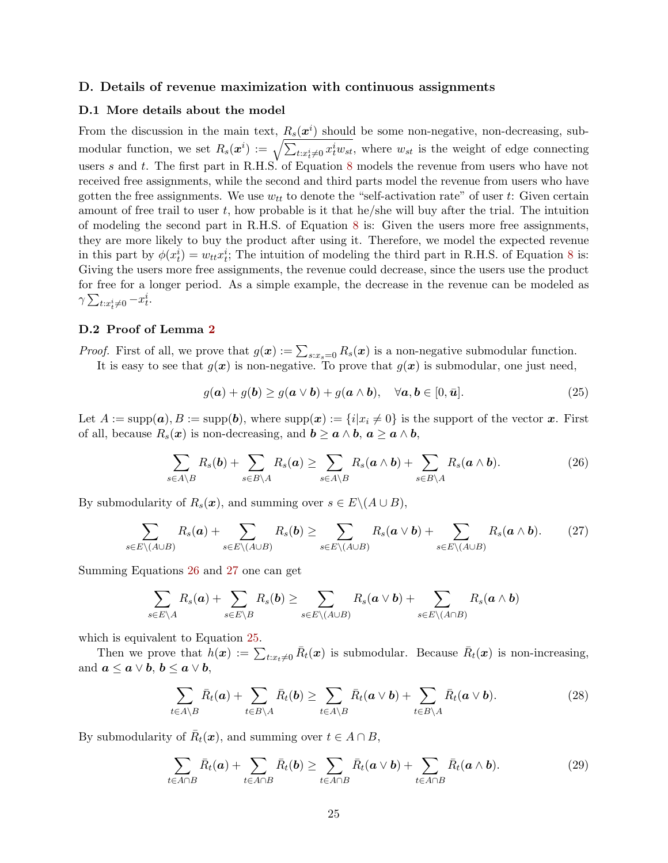#### <span id="page-25-0"></span>D. Details of revenue maximization with continuous assignments

#### D.1 More details about the model

From the discussion in the main text,  $R_s(\mathbf{x}^i)$  should be some non-negative, non-decreasing, submodular function, we set  $R_s(x^i) := \sqrt{\sum_{t:x_t^i \neq 0} x_t^i w_{st}}$ , where  $w_{st}$  is the weight of edge connecting users s and t. The first part in  $R.H.S.$  of Equation [8](#page-10-0) models the revenue from users who have not received free assignments, while the second and third parts model the revenue from users who have gotten the free assignments. We use  $w_{tt}$  to denote the "self-activation rate" of user t: Given certain amount of free trail to user  $t$ , how probable is it that he/she will buy after the trial. The intuition of modeling the second part in R.H.S. of Equation [8](#page-10-0) is: Given the users more free assignments, they are more likely to buy the product after using it. Therefore, we model the expected revenue in this part by  $\phi(x_t^i) = w_{tt}x_t^i$ ; The intuition of modeling the third part in R.H.S. of Equation [8](#page-10-0) is: Giving the users more free assignments, the revenue could decrease, since the users use the product for free for a longer period. As a simple example, the decrease in the revenue can be modeled as  $\gamma \sum_{t:x_t^i\neq 0} -x_t^i$ .

#### D.2 Proof of Lemma [2](#page-10-1)

*Proof.* First of all, we prove that  $g(x) := \sum_{s:x_s=0} R_s(x)$  is a non-negative submodular function.

It is easy to see that  $g(x)$  is non-negative. To prove that  $g(x)$  is submodular, one just need,

<span id="page-25-3"></span><span id="page-25-2"></span><span id="page-25-1"></span>
$$
g(\mathbf{a}) + g(\mathbf{b}) \ge g(\mathbf{a} \vee \mathbf{b}) + g(\mathbf{a} \wedge \mathbf{b}), \quad \forall \mathbf{a}, \mathbf{b} \in [0, \bar{\mathbf{u}}]. \tag{25}
$$

Let  $A := \text{supp}(a), B := \text{supp}(b)$ , where  $\text{supp}(x) := \{i | x_i \neq 0\}$  is the support of the vector x. First of all, because  $R_s(x)$  is non-decreasing, and  $b \ge a \wedge b$ ,  $a \ge a \wedge b$ ,

$$
\sum_{s\in A\setminus B} R_s(\boldsymbol{b}) + \sum_{s\in B\setminus A} R_s(\boldsymbol{a}) \ge \sum_{s\in A\setminus B} R_s(\boldsymbol{a} \wedge \boldsymbol{b}) + \sum_{s\in B\setminus A} R_s(\boldsymbol{a} \wedge \boldsymbol{b}). \tag{26}
$$

By submodularity of  $R_s(\boldsymbol{x})$ , and summing over  $s \in E \setminus (A \cup B)$ ,

$$
\sum_{s\in E\setminus (A\cup B)} R_s(a) + \sum_{s\in E\setminus (A\cup B)} R_s(b) \ge \sum_{s\in E\setminus (A\cup B)} R_s(a\vee b) + \sum_{s\in E\setminus (A\cup B)} R_s(a\wedge b). \tag{27}
$$

Summing Equations [26](#page-25-1) and [27](#page-25-2) one can get

$$
\sum_{s\in E\setminus A} R_s(a) + \sum_{s\in E\setminus B} R_s(b) \ge \sum_{s\in E\setminus (A\cup B)} R_s(a\vee b) + \sum_{s\in E\setminus (A\cap B)} R_s(a\wedge b)
$$

which is equivalent to Equation [25.](#page-25-3)

Then we prove that  $h(x) := \sum_{t:x_t\neq 0} \bar{R}_t(x)$  is submodular. Because  $\bar{R}_t(x)$  is non-increasing, and  $a \leq a \vee b, b \leq a \vee b$ ,

<span id="page-25-4"></span>
$$
\sum_{t \in A \setminus B} \bar{R}_t(a) + \sum_{t \in B \setminus A} \bar{R}_t(b) \ge \sum_{t \in A \setminus B} \bar{R}_t(a \vee b) + \sum_{t \in B \setminus A} \bar{R}_t(a \vee b).
$$
 (28)

By submodularity of  $\bar{R}_t(\boldsymbol{x})$ , and summing over  $t \in A \cap B$ ,

<span id="page-25-5"></span>
$$
\sum_{t \in A \cap B} \bar{R}_t(a) + \sum_{t \in A \cap B} \bar{R}_t(b) \ge \sum_{t \in A \cap B} \bar{R}_t(a \vee b) + \sum_{t \in A \cap B} \bar{R}_t(a \wedge b).
$$
 (29)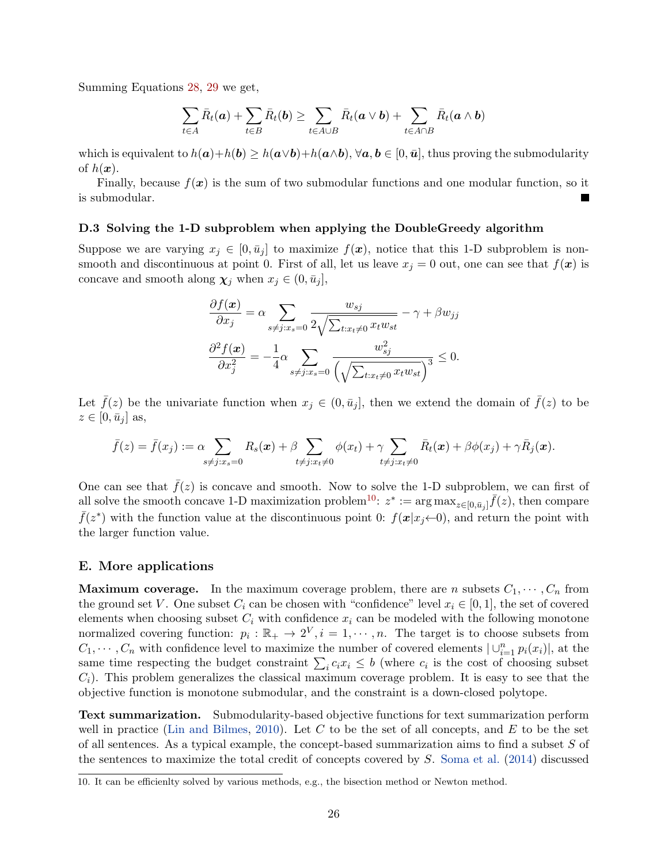Summing Equations [28,](#page-25-4) [29](#page-25-5) we get,

$$
\sum_{t\in A} \bar{R}_t(a) + \sum_{t\in B} \bar{R}_t(b) \geq \sum_{t\in A\cup B} \bar{R}_t(a \vee b) + \sum_{t\in A\cap B} \bar{R}_t(a \wedge b)
$$

which is equivalent to  $h(a)+h(b) \geq h(a \vee b)+h(a \wedge b)$ ,  $\forall a, b \in [0, \bar{u}]$ , thus proving the submodularity of  $h(x)$ .

Finally, because  $f(x)$  is the sum of two submodular functions and one modular function, so it is submodular.

#### D.3 Solving the 1-D subproblem when applying the DoubleGreedy algorithm

Suppose we are varying  $x_i \in [0, \bar{u}_i]$  to maximize  $f(x)$ , notice that this 1-D subproblem is nonsmooth and discontinuous at point 0. First of all, let us leave  $x_j = 0$  out, one can see that  $f(x)$  is concave and smooth along  $\chi_j$  when  $x_j \in (0, \bar{u}_j],$ 

$$
\frac{\partial f(\mathbf{x})}{\partial x_j} = \alpha \sum_{s \neq j: x_s = 0} \frac{w_{sj}}{2\sqrt{\sum_{t: x_t \neq 0} x_t w_{st}}} - \gamma + \beta w_{jj}
$$

$$
\frac{\partial^2 f(\mathbf{x})}{\partial x_j^2} = -\frac{1}{4} \alpha \sum_{s \neq j: x_s = 0} \frac{w_{sj}^2}{\left(\sqrt{\sum_{t: x_t \neq 0} x_t w_{st}}\right)^3} \leq 0.
$$

Let  $\bar{f}(z)$  be the univariate function when  $x_i \in (0, \bar{u}_i]$ , then we extend the domain of  $\bar{f}(z)$  to be  $z \in [0, \bar{u}_j]$  as,

$$
\bar{f}(z) = \bar{f}(x_j) := \alpha \sum_{s \neq j: x_s = 0} R_s(\boldsymbol{x}) + \beta \sum_{t \neq j: x_t \neq 0} \phi(x_t) + \gamma \sum_{t \neq j: x_t \neq 0} \bar{R}_t(\boldsymbol{x}) + \beta \phi(x_j) + \gamma \bar{R}_j(\boldsymbol{x}).
$$

One can see that  $\bar{f}(z)$  is concave and smooth. Now to solve the 1-D subproblem, we can first of all solve the smooth concave 1-D maximization problem<sup>[10](#page-26-1)</sup>:  $z^* := \arg \max_{z \in [0, \bar{u}_j]} \bar{f}(z)$ , then compare  $\bar{f}(z^*)$  with the function value at the discontinuous point 0:  $f(x|x_j \leftarrow 0)$ , and return the point with the larger function value.

#### <span id="page-26-0"></span>E. More applications

**Maximum coverage.** In the maximum coverage problem, there are *n* subsets  $C_1, \dots, C_n$  from the ground set V. One subset  $C_i$  can be chosen with "confidence" level  $x_i \in [0,1]$ , the set of covered elements when choosing subset  $C_i$  with confidence  $x_i$  can be modeled with the following monotone normalized covering function:  $p_i : \mathbb{R}_+ \to 2^V, i = 1, \dots, n$ . The target is to choose subsets from  $C_1, \dots, C_n$  with confidence level to maximize the number of covered elements  $|\cup_{i=1}^n p_i(x_i)|$ , at the same time respecting the budget constraint  $\sum_i c_i x_i \leq b$  (where  $c_i$  is the cost of choosing subset  $C_i$ ). This problem generalizes the classical maximum coverage problem. It is easy to see that the objective function is monotone submodular, and the constraint is a down-closed polytope.

Text summarization. Submodularity-based objective functions for text summarization perform well in practice [\(Lin and Bilmes,](#page-16-17) [2010\)](#page-16-17). Let  $C$  to be the set of all concepts, and  $E$  to be the set of all sentences. As a typical example, the concept-based summarization aims to find a subset S of the sentences to maximize the total credit of concepts covered by S. [Soma et al.](#page-17-4) [\(2014\)](#page-17-4) discussed

<span id="page-26-1"></span><sup>10.</sup> It can be efficienlty solved by various methods, e.g., the bisection method or Newton method.